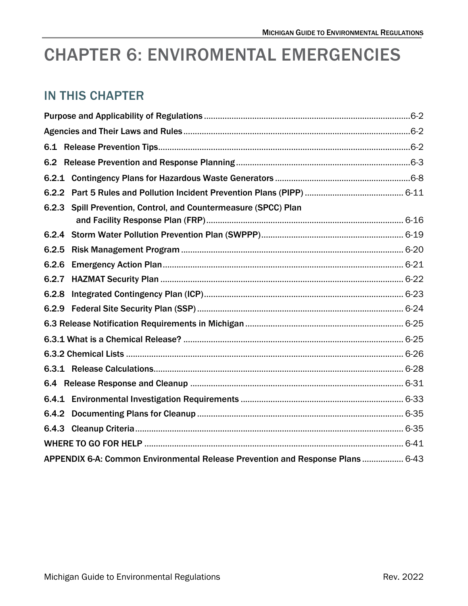# CHAPTER 6: ENVIROMENTAL EMERGENCIES

## IN THIS CHAPTER

<span id="page-0-0"></span>

| 6.2.3 Spill Prevention, Control, and Countermeasure (SPCC) Plan                |  |  |  |
|--------------------------------------------------------------------------------|--|--|--|
|                                                                                |  |  |  |
| 6.2.5                                                                          |  |  |  |
| 6.2.6                                                                          |  |  |  |
| 6.2.7                                                                          |  |  |  |
| 6.2.8                                                                          |  |  |  |
|                                                                                |  |  |  |
|                                                                                |  |  |  |
|                                                                                |  |  |  |
|                                                                                |  |  |  |
|                                                                                |  |  |  |
|                                                                                |  |  |  |
|                                                                                |  |  |  |
|                                                                                |  |  |  |
|                                                                                |  |  |  |
|                                                                                |  |  |  |
| APPENDIX 6-A: Common Environmental Release Prevention and Response Plans  6-43 |  |  |  |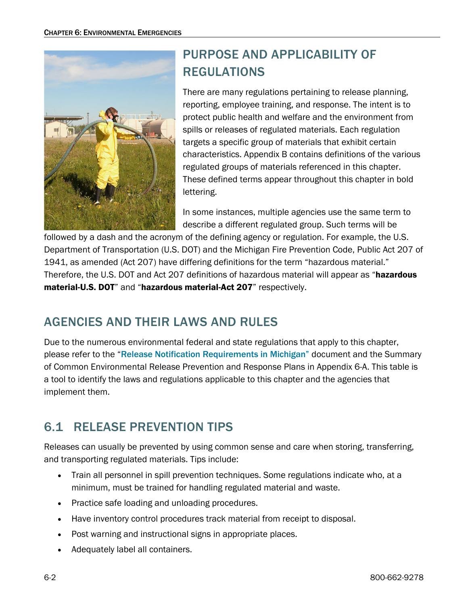

## PURPOSE AND APPLICABILITY OF REGULATIONS

There are many regulations pertaining to release planning, reporting, employee training, and response. The intent is to protect public health and welfare and the environment from spills or releases of regulated materials. Each regulation targets a specific group of materials that exhibit certain characteristics. Appendix B contains definitions of the various regulated groups of materials referenced in this chapter. These defined terms appear throughout this chapter in bold lettering.

In some instances, multiple agencies use the same term to describe a different regulated group. Such terms will be

followed by a dash and the acronym of the defining agency or regulation. For example, the U.S. Department of Transportation (U.S. DOT) and the Michigan Fire Prevention Code, Public Act 207 of 1941, as amended (Act 207) have differing definitions for the term "hazardous material." Therefore, the U.S. DOT and Act 207 definitions of hazardous material will appear as "hazardous material-U.S. DOT" and "hazardous material-Act 207" respectively.

## <span id="page-1-0"></span>AGENCIES AND THEIR LAWS AND RULES

Due to the numerous environmental federal and state regulations that apply to this chapter, please refer to the "[Release Notification Requirements in Michigan"](https://www.michigan.gov/-/media/Project/Websites/egle/Documents/Spill-Release-Reporting/Release-Reporting-Requirements.pdf) document and the Summary of Common Environmental Release Prevention and Response Plans in Appendix 6-A. This table is a tool to identify the laws and regulations applicable to this chapter and the agencies that implement them.

## <span id="page-1-1"></span>6.1 RELEASE PREVENTION TIPS

Releases can usually be prevented by using common sense and care when storing, transferring, and transporting regulated materials. Tips include:

- Train all personnel in spill prevention techniques. Some regulations indicate who, at a minimum, must be trained for handling regulated material and waste.
- Practice safe loading and unloading procedures.
- Have inventory control procedures track material from receipt to disposal.
- Post warning and instructional signs in appropriate places.
- Adequately label all containers.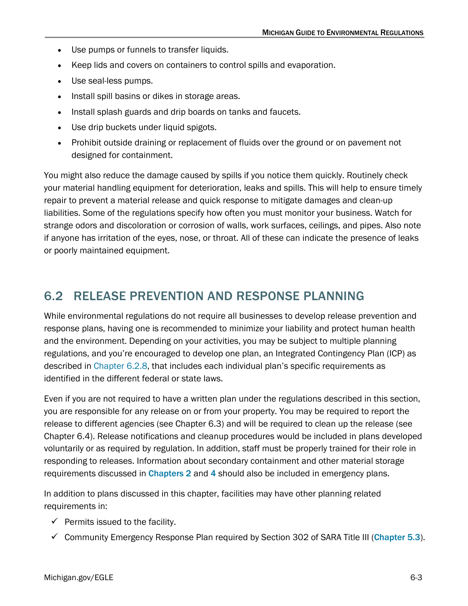- Use pumps or funnels to transfer liquids.
- Keep lids and covers on containers to control spills and evaporation.
- Use seal-less pumps.
- Install spill basins or dikes in storage areas.
- Install splash guards and drip boards on tanks and faucets.
- Use drip buckets under liquid spigots.
- Prohibit outside draining or replacement of fluids over the ground or on pavement not designed for containment.

You might also reduce the damage caused by spills if you notice them quickly. Routinely check your material handling equipment for deterioration, leaks and spills. This will help to ensure timely repair to prevent a material release and quick response to mitigate damages and clean-up liabilities. Some of the regulations specify how often you must monitor your business. Watch for strange odors and discoloration or corrosion of walls, work surfaces, ceilings, and pipes. Also note if anyone has irritation of the eyes, nose, or throat. All of these can indicate the presence of leaks or poorly maintained equipment.

## <span id="page-2-0"></span>6.2 RELEASE PREVENTION AND RESPONSE PLANNING

While environmental regulations do not require all businesses to develop release prevention and response plans, having one is recommended to minimize your liability and protect human health and the environment. Depending on your activities, you may be subject to multiple planning regulations, and you're encouraged to develop one plan, an Integrated Contingency Plan (ICP) as described in [Chapter 6.2.8,](#page-21-0) that includes each individual plan's specific requirements as identified in the different federal or state laws.

Even if you are not required to have a written plan under the regulations described in this section, you are responsible for any release on or from your property. You may be required to report the release to different agencies (see Chapter 6.3) and will be required to clean up the release (see Chapter 6.4). Release notifications and cleanup procedures would be included in plans developed voluntarily or as required by regulation. In addition, staff must be properly trained for their role in responding to releases. Information about secondary containment and other material storage requirements discussed in [Chapters 2](https://www.michigan.gov/-/media/Project/Websites/egle/Documents/Regulatory-Assistance/Guidebooks/MI-Guide-to-Environmental-Regulations/MI-Guide-Environmental-Regulations-Ch2-Waste.pdf) and [4](https://www.michigan.gov/egle/-/media/Project/Websites/egle/Documents/Regulatory-Assistance/Guidebooks/MI-Guide-to-Environmental-Regulations/MI-Guide-Environmental-Regulations-Ch4-Transport.pdf) should also be included in emergency plans.

In addition to plans discussed in this chapter, facilities may have other planning related requirements in:

- $\checkmark$  Permits issued to the facility.
- Community Emergency Response Plan required by Section 302 of SARA Title III ([Chapter 5.3](https://www.michigan.gov/-/media/Project/Websites/egle/Documents/Regulatory-Assistance/Guidebooks/MI-Guide-to-Environmental-Regulations/MI-Guide-Environmental-Regulations-Ch5-SARA.pd#page=4)).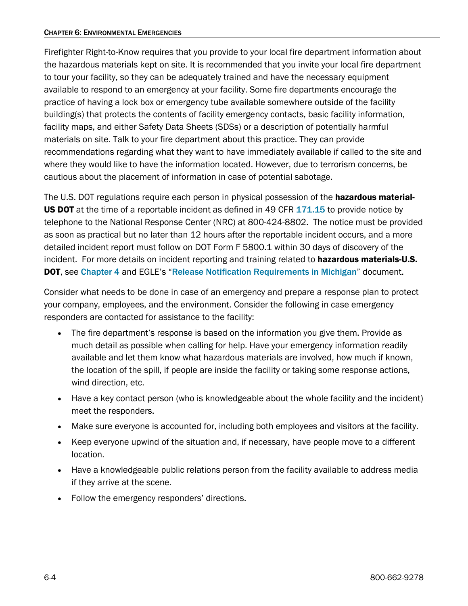Firefighter Right-to-Know requires that you provide to your local fire department information about the hazardous materials kept on site. It is recommended that you invite your local fire department to tour your facility, so they can be adequately trained and have the necessary equipment available to respond to an emergency at your facility. Some fire departments encourage the practice of having a lock box or emergency tube available somewhere outside of the facility building(s) that protects the contents of facility emergency contacts, basic facility information, facility maps, and either Safety Data Sheets (SDSs) or a description of potentially harmful materials on site. Talk to your fire department about this practice. They can provide recommendations regarding what they want to have immediately available if called to the site and where they would like to have the information located. However, due to terrorism concerns, be cautious about the placement of information in case of potential sabotage.

The U.S. DOT regulations require each person in physical possession of the hazardous material-**US DOT** at the time of a reportable incident as defined in 49 CFR [171.15](https://www.ecfr.gov/) to provide notice by telephone to the National Response Center (NRC) at 800-424-8802. The notice must be provided as soon as practical but no later than 12 hours after the reportable incident occurs, and a more detailed incident report must follow on DOT Form F 5800.1 within 30 days of discovery of the incident. For more details on incident reporting and training related to **hazardous materials-U.S.** DOT, see [Chapter 4](https://www.michigan.gov/egle/-/media/Project/Websites/egle/Documents/Regulatory-Assistance/Guidebooks/MI-Guide-to-Environmental-Regulations/MI-Guide-Environmental-Regulations-Ch4-Transport.pdf) and EGLE's "[Release Notification Requirements in Michigan](https://www.michigan.gov/egle/-/media/Project/Websites/egle/Documents/Spill-Release-Reporting/Release-Reporting-Requirements.pdf)" document.

Consider what needs to be done in case of an emergency and prepare a response plan to protect your company, employees, and the environment. Consider the following in case emergency responders are contacted for assistance to the facility:

- The fire department's response is based on the information you give them. Provide as much detail as possible when calling for help. Have your emergency information readily available and let them know what hazardous materials are involved, how much if known, the location of the spill, if people are inside the facility or taking some response actions, wind direction, etc.
- Have a key contact person (who is knowledgeable about the whole facility and the incident) meet the responders.
- Make sure everyone is accounted for, including both employees and visitors at the facility.
- Keep everyone upwind of the situation and, if necessary, have people move to a different location.
- Have a knowledgeable public relations person from the facility available to address media if they arrive at the scene.
- Follow the emergency responders' directions.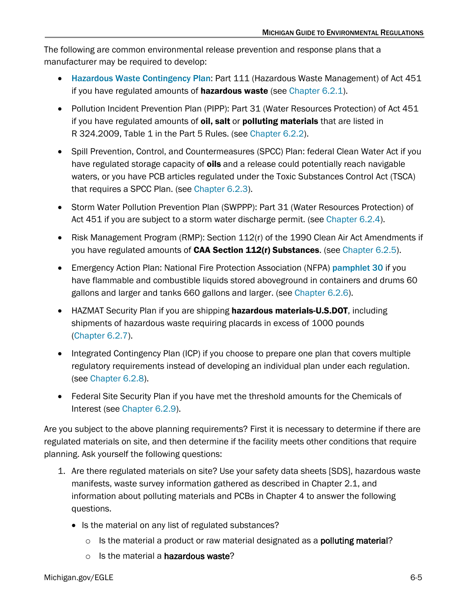The following are common environmental release prevention and response plans that a manufacturer may be required to develop:

- [Hazardous Waste Contingency Plan](https://www.michigan.gov/-/media/Project/Websites/egle/Documents/Programs/MMD/Hazardous-Waste/contingency-plan-emergency-procedures.pdf): Part 111 (Hazardous Waste Management) of Act 451 if you have regulated amounts of **hazardous waste** (see Chapter  $6.2.1$ ).
- Pollution Incident Prevention Plan (PIPP): Part 31 (Water Resources Protection) of Act 451 if you have regulated amounts of oil, salt or polluting materials that are listed in R 324.2009, Table 1 in the Part 5 Rules. (se[e Chapter 6.2.2\)](#page-10-0).
- Spill Prevention, Control, and Countermeasures (SPCC) Plan: federal Clean Water Act if you have regulated storage capacity of oils and a release could potentially reach navigable waters, or you have PCB articles regulated under the Toxic Substances Control Act (TSCA) that requires a SPCC Plan. (see [Chapter 6.2.3\)](#page-13-0).
- Storm Water Pollution Prevention Plan (SWPPP): Part 31 (Water Resources Protection) of Act 451 if you are subject to a storm water discharge permit. (see [Chapter 6.2.4\)](#page-17-0).
- Risk Management Program (RMP): Section 112(r) of the 1990 Clean Air Act Amendments if you have regulated amounts of CAA Section 112(r) Substances. (see [Chapter 6.2.5\)](#page-18-0).
- Emergency Action Plan: National Fire Protection Association (NFPA) [pamphlet 30](http://www.nfpa.org/codes-and-standards/document-information-pages?mode=code&code=30) if you have flammable and combustible liquids stored aboveground in containers and drums 60 gallons and larger and tanks 660 gallons and larger. (se[e Chapter 6.2.6\)](#page-19-0).
- HAZMAT Security Plan if you are shipping hazardous materials-U.S.DOT, including shipments of hazardous waste requiring placards in excess of 1000 pounds [\(Chapter 6.2.7\)](#page-20-0).
- Integrated Contingency Plan (ICP) if you choose to prepare one plan that covers multiple regulatory requirements instead of developing an individual plan under each regulation. (see [Chapter 6.2.8\)](#page-21-0).
- Federal Site Security Plan if you have met the threshold amounts for the Chemicals of Interest (see [Chapter 6.2.9\)](#page-22-0).

Are you subject to the above planning requirements? First it is necessary to determine if there are regulated materials on site, and then determine if the facility meets other conditions that require planning. Ask yourself the following questions:

- 1. Are there regulated materials on site? Use your safety data sheets [SDS], hazardous waste manifests, waste survey information gathered as described in Chapter 2.1, and information about polluting materials and PCBs in Chapter 4 to answer the following questions.
	- Is the material on any list of regulated substances?
		- $\circ$  Is the material a product or raw material designated as a **polluting material?**
		- $\circ$  Is the material a hazardous waste?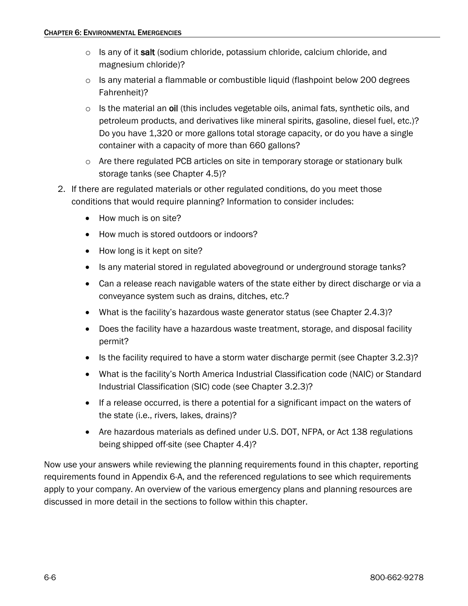- $\circ$  Is any of it salt (sodium chloride, potassium chloride, calcium chloride, and magnesium chloride)?
- $\circ$  Is any material a flammable or combustible liquid (flashpoint below 200 degrees Fahrenheit)?
- $\circ$  Is the material an oil (this includes vegetable oils, animal fats, synthetic oils, and petroleum products, and derivatives like mineral spirits, gasoline, diesel fuel, etc.)? Do you have 1,320 or more gallons total storage capacity, or do you have a single container with a capacity of more than 660 gallons?
- o Are there regulated PCB articles on site in temporary storage or stationary bulk storage tanks (see Chapter 4.5)?
- 2. If there are regulated materials or other regulated conditions, do you meet those conditions that would require planning? Information to consider includes:
	- How much is on site?
	- How much is stored outdoors or indoors?
	- How long is it kept on site?
	- Is any material stored in regulated aboveground or underground storage tanks?
	- Can a release reach navigable waters of the state either by direct discharge or via a conveyance system such as drains, ditches, etc.?
	- What is the facility's hazardous waste generator status (see Chapter 2.4.3)?
	- Does the facility have a hazardous waste treatment, storage, and disposal facility permit?
	- Is the facility required to have a storm water discharge permit (see Chapter 3.2.3)?
	- What is the facility's North America Industrial Classification code (NAIC) or Standard Industrial Classification (SIC) code (see Chapter 3.2.3)?
	- If a release occurred, is there a potential for a significant impact on the waters of the state (i.e., rivers, lakes, drains)?
	- Are hazardous materials as defined under U.S. DOT, NFPA, or Act 138 regulations being shipped off-site (see Chapter 4.4)?

Now use your answers while reviewing the planning requirements found in this chapter, reporting requirements found in Appendix 6-A, and the referenced regulations to see which requirements apply to your company. An overview of the various emergency plans and planning resources are discussed in more detail in the sections to follow within this chapter.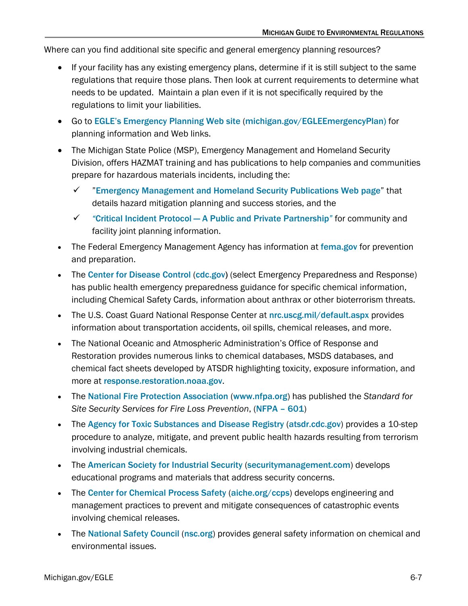Where can you find additional site specific and general emergency planning resources?

- If your facility has any existing emergency plans, determine if it is still subject to the same regulations that require those plans. Then look at current requirements to determine what needs to be updated. Maintain a plan even if it is not specifically required by the regulations to limit your liabilities.
- Go to [EGLE's Emergency Planning Web site](https://www.michigan.gov/egle/Regulatory-Assistance/Emergency-Planning-and-Community-Right-to-Know) ([michigan.gov/EGLEEmergencyPlan\)](https://www.michigan.gov/egle/Regulatory-Assistance/Emergency-Planning-and-Community-Right-to-Know) for planning information and Web links.
- The Michigan State Police (MSP), Emergency Management and Homeland Security Division, offers HAZMAT training and has publications to help companies and communities prepare for hazardous materials incidents, including the:
	- $\checkmark$  "[Emergency Management and Homeland Security Publications Web page](https://www.michigan.gov/msp/divisions/emhsd)" that details hazard mitigation planning and success stories, and the
	- *"*[Critical Incident Protocol A Public and Private Partnership](https://www.michigan.gov/msp/-/media/Project/Websites/msp/EMHSD/Publications/msp-critical__incident_Protocal_8735_7.pdf)*"* for community and facility joint planning information.
- The Federal Emergency Management Agency has information at [fema.gov](https://www.fema.gov/) for prevention and preparation.
- The [Center for Disease Control](https://www.cdc.gov/) ([cdc.gov\)](http://www.cdc.gov/) (select Emergency Preparedness and Response) has public health emergency preparedness guidance for specific chemical information, including Chemical Safety Cards, information about anthrax or other bioterrorism threats.
- The U.S. Coast Guard National Response Center at [nrc.uscg.mil/default.aspx](https://nrc.uscg.mil/Default.aspx) provides information about transportation accidents, oil spills, chemical releases, and more.
- The National Oceanic and Atmospheric Administration's Office of Response and Restoration provides numerous links to chemical databases, MSDS databases, and chemical fact sheets developed by ATSDR highlighting toxicity, exposure information, and more at [response.restoration.noaa.gov](https://response.restoration.noaa.gov/).
- The [National Fire Protection Association](https://www.nfpa.org/) ([www.nfpa.org](http://www.nfpa.org/)) has published the *Standard for Site Security Services for Fire Loss Prevention*, ([NFPA – 601](https://www.nfpa.org/codes-and-standards/all-codes-and-standards/list-of-codes-and-standards/detail?code=601))
- The [Agency for Toxic Substances and Disease Registry](https://www.atsdr.cdc.gov/) ([atsdr.cdc.gov](http://www.atsdr.cdc.gov/)) provides a 10-step procedure to analyze, mitigate, and prevent public health hazards resulting from terrorism involving industrial chemicals.
- The [American Society for Industrial Security](https://www.asisonline.org/security-management-magazine/latest-news/sm-homepage/) ([securitymanagement.com](https://www.asisonline.org/security-management-magazine/latest-news/sm-homepage/)) develops educational programs and materials that address security concerns.
- The [Center for Chemical Process Safety](https://www.aiche.org/ccps) ([aiche.org/ccps](http://www.aiche.org/ccps)) develops engineering and management practices to prevent and mitigate consequences of catastrophic events involving chemical releases.
- The [National Safety Council](https://www.nsc.org/) ([nsc.org](http://www.nsc.org/)) provides general safety information on chemical and environmental issues.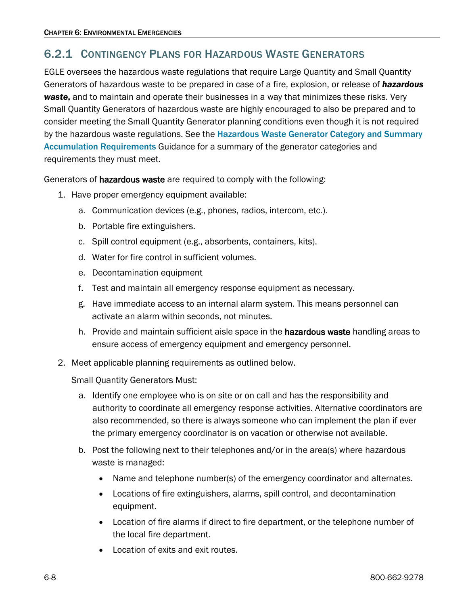### <span id="page-7-0"></span>6.2.1 CONTINGENCY PLANS FOR HAZARDOUS WASTE GENERATORS

EGLE oversees the hazardous waste regulations that require Large Quantity and Small Quantity Generators of hazardous waste to be prepared in case of a fire, explosion, or release of *hazardous waste*, and to maintain and operate their businesses in a way that minimizes these risks. Very Small Quantity Generators of hazardous waste are highly encouraged to also be prepared and to consider meeting the Small Quantity Generator planning conditions even though it is not required by the hazardous waste regulations. See the Hazardous Waste Generator Category and Summary [Accumulation Requirements](https://www.michigan.gov/-/media/Project/Websites/egle/Documents/Programs/MMD/Hazardous-Waste/Hazardous-Waste-Generator-Cagetory-Accumulation-Requirements.pdf) Guidance for a summary of the generator categories and requirements they must meet.

Generators of hazardous waste are required to comply with the following:

- 1. Have proper emergency equipment available:
	- a. Communication devices (e.g., phones, radios, intercom, etc.).
	- b. Portable fire extinguishers.
	- c. Spill control equipment (e.g., absorbents, containers, kits).
	- d. Water for fire control in sufficient volumes.
	- e. Decontamination equipment
	- f. Test and maintain all emergency response equipment as necessary.
	- g. Have immediate access to an internal alarm system. This means personnel can activate an alarm within seconds, not minutes.
	- h. Provide and maintain sufficient aisle space in the hazardous waste handling areas to ensure access of emergency equipment and emergency personnel.
- 2. Meet applicable planning requirements as outlined below.

Small Quantity Generators Must:

- a. Identify one employee who is on site or on call and has the responsibility and authority to coordinate all emergency response activities. Alternative coordinators are also recommended, so there is always someone who can implement the plan if ever the primary emergency coordinator is on vacation or otherwise not available.
- b. Post the following next to their telephones and/or in the area(s) where hazardous waste is managed:
	- Name and telephone number(s) of the emergency coordinator and alternates.
	- Locations of fire extinguishers, alarms, spill control, and decontamination equipment.
	- Location of fire alarms if direct to fire department, or the telephone number of the local fire department.
	- Location of exits and exit routes.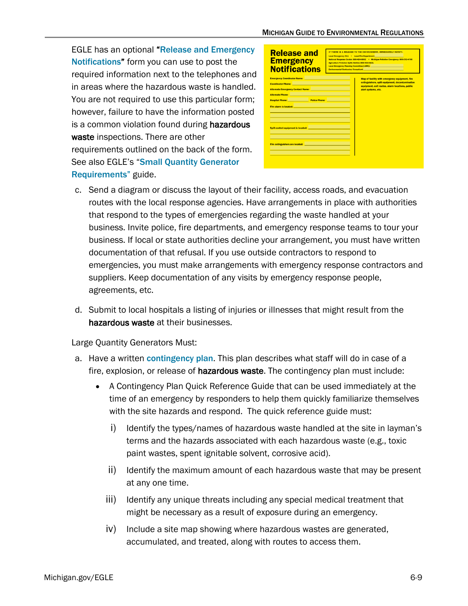EGLE has an optional "Release and Emergency [Notifications](https://www.michigan.gov/egle/-/media/Project/Websites/egle/Documents/Programs/MMD/Hazardous-Waste/Haz-Waste-Emergency-Posting.pdf)" form you can use to post the required information next to the telephones and in areas where the hazardous waste is handled. You are not required to use this particular form; however, failure to have the information posted is a common violation found during **hazardous** waste inspections. There are other requirements outlined on the back of the form. See also EGLE's "[Small Quantity Generator](https://www.michigan.gov/-/media/Project/Websites/egle/Documents/Programs/MMD/Hazardous-Waste/SQG-requirements.pdf)  [Requirements"](https://www.michigan.gov/-/media/Project/Websites/egle/Documents/Programs/MMD/Hazardous-Waste/SQG-requirements.pdf) guide.

| <b>Release and</b><br><b>Emergency</b><br><b>Notifications</b>                                                                                                                                                                                                                                                                                                                                                                                                                                                                                                                                                                                                                                                                                                                                                                                                                                                                                    | IF THERE IS A RELEASE TO THE ENVIRONMENT. IMMEDIATELY NOTIFY:<br>Local Emergency: 911 . Local Fire Department: 2001<br>National Response Center: 800-424-8802 . Michigan Pollution Emergency: 800-292-4706<br>Agriculture Pollution Soills Hotline: 800-405-0101<br>Local Emergency Planning Committee (LEPC): New York Committee (LEPC):<br>Environmental Contractor/Consultant: New York (New York: New York: New York: New York: New York: New York: New York: New York: New York: New York: New York: New York: New York: New York: New York: New York: New York: New Y |                                                                                                                                                                             |  |  |
|---------------------------------------------------------------------------------------------------------------------------------------------------------------------------------------------------------------------------------------------------------------------------------------------------------------------------------------------------------------------------------------------------------------------------------------------------------------------------------------------------------------------------------------------------------------------------------------------------------------------------------------------------------------------------------------------------------------------------------------------------------------------------------------------------------------------------------------------------------------------------------------------------------------------------------------------------|-----------------------------------------------------------------------------------------------------------------------------------------------------------------------------------------------------------------------------------------------------------------------------------------------------------------------------------------------------------------------------------------------------------------------------------------------------------------------------------------------------------------------------------------------------------------------------|-----------------------------------------------------------------------------------------------------------------------------------------------------------------------------|--|--|
| <b>Emergency Coordinator Name: Exercísion Coordinator Name: Coordinator Name: Coordinator Name: Coordinator Name: Coordinator Name: Coordinator Name: Coordinator Name: Coordinator Name: Coordinator Name: </b><br><b>Coordinator Phone:</b> And The Coordinator Phone: And The Coordinator Phone: And The Coordinator Phone: And The Coordinator Phone: And The Coordinator Phone: And The Coordinator Phone: And The Coordinator Phone: And The Coor<br><b>Alternate Emergency Contact Name: Alternate Contact Agency</b><br>Alternate Phone: New York State State State State State State State State State State State State State State State State State State State State State State State State State State State State State State State State Stat<br><b>Hospital Phone: Example 2018</b> Police Phone: <b>Profitable Phone:</b><br>Fire alarm is located: <b>Example 2014</b><br>Fire extinguishers are located: <b>Example 2014</b> |                                                                                                                                                                                                                                                                                                                                                                                                                                                                                                                                                                             | Map of facility with emergency equipment, fire<br>extinguishers, spill equipment, decontamination<br>equipment, exit routes, alarm locations, public<br>alert systems, etc. |  |  |

- c. Send a diagram or discuss the layout of their facility, access roads, and evacuation routes with the local response agencies. Have arrangements in place with authorities that respond to the types of emergencies regarding the waste handled at your business. Invite police, fire departments, and emergency response teams to tour your business. If local or state authorities decline your arrangement, you must have written documentation of that refusal. If you use outside contractors to respond to emergencies, you must make arrangements with emergency response contractors and suppliers. Keep documentation of any visits by emergency response people, agreements, etc.
- d. Submit to local hospitals a listing of injuries or illnesses that might result from the hazardous waste at their businesses.

Large Quantity Generators Must:

- a. Have a written [contingency plan](https://www.michigan.gov/-/media/Project/Websites/egle/Documents/Programs/MMD/Hazardous-Waste/contingency-plan-emergency-procedures.pdf). This plan describes what staff will do in case of a fire, explosion, or release of hazardous waste. The contingency plan must include:
	- A Contingency Plan Quick Reference Guide that can be used immediately at the time of an emergency by responders to help them quickly familiarize themselves with the site hazards and respond. The quick reference guide must:
		- i) Identify the types/names of hazardous waste handled at the site in layman's terms and the hazards associated with each hazardous waste (e.g., toxic paint wastes, spent ignitable solvent, corrosive acid).
		- ii) Identify the maximum amount of each hazardous waste that may be present at any one time.
		- iii) Identify any unique threats including any special medical treatment that might be necessary as a result of exposure during an emergency.
		- iv) Include a site map showing where hazardous wastes are generated, accumulated, and treated, along with routes to access them.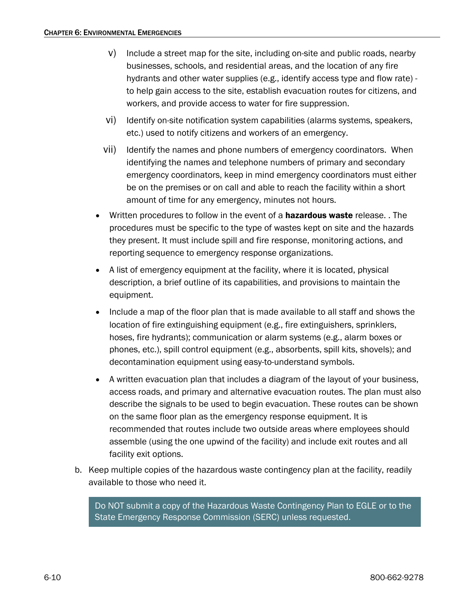- v) Include a street map for the site, including on-site and public roads, nearby businesses, schools, and residential areas, and the location of any fire hydrants and other water supplies (e.g., identify access type and flow rate) to help gain access to the site, establish evacuation routes for citizens, and workers, and provide access to water for fire suppression.
- vi) Identify on-site notification system capabilities (alarms systems, speakers, etc.) used to notify citizens and workers of an emergency.
- vii) Identify the names and phone numbers of emergency coordinators. When identifying the names and telephone numbers of primary and secondary emergency coordinators, keep in mind emergency coordinators must either be on the premises or on call and able to reach the facility within a short amount of time for any emergency, minutes not hours.
- Written procedures to follow in the event of a **hazardous waste** release. . The procedures must be specific to the type of wastes kept on site and the hazards they present. It must include spill and fire response, monitoring actions, and reporting sequence to emergency response organizations.
- A list of emergency equipment at the facility, where it is located, physical description, a brief outline of its capabilities, and provisions to maintain the equipment.
- Include a map of the floor plan that is made available to all staff and shows the location of fire extinguishing equipment (e.g., fire extinguishers, sprinklers, hoses, fire hydrants); communication or alarm systems (e.g., alarm boxes or phones, etc.), spill control equipment (e.g., absorbents, spill kits, shovels); and decontamination equipment using easy-to-understand symbols.
- A written evacuation plan that includes a diagram of the layout of your business, access roads, and primary and alternative evacuation routes. The plan must also describe the signals to be used to begin evacuation. These routes can be shown on the same floor plan as the emergency response equipment. It is recommended that routes include two outside areas where employees should assemble (using the one upwind of the facility) and include exit routes and all facility exit options.
- b. Keep multiple copies of the hazardous waste contingency plan at the facility, readily available to those who need it.

Do NOT submit a copy of the Hazardous Waste Contingency Plan to EGLE or to the State Emergency Response Commission (SERC) unless requested.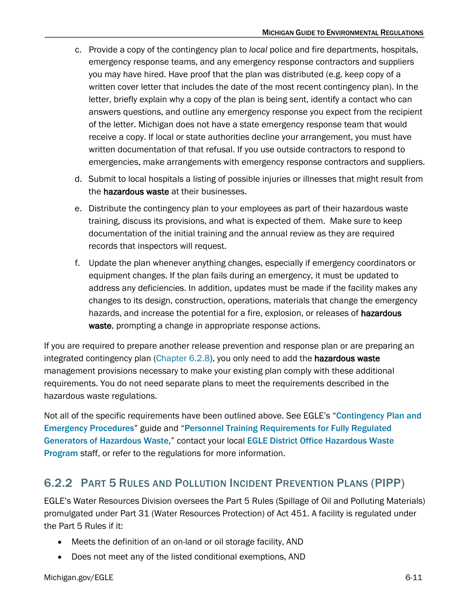- c. Provide a copy of the contingency plan to *local* police and fire departments, hospitals, emergency response teams, and any emergency response contractors and suppliers you may have hired. Have proof that the plan was distributed (e.g. keep copy of a written cover letter that includes the date of the most recent contingency plan). In the letter, briefly explain why a copy of the plan is being sent, identify a contact who can answers questions, and outline any emergency response you expect from the recipient of the letter. Michigan does not have a state emergency response team that would receive a copy. If local or state authorities decline your arrangement, you must have written documentation of that refusal. If you use outside contractors to respond to emergencies, make arrangements with emergency response contractors and suppliers.
- d. Submit to local hospitals a listing of possible injuries or illnesses that might result from the hazardous waste at their businesses.
- e. Distribute the contingency plan to your employees as part of their hazardous waste training, discuss its provisions, and what is expected of them. Make sure to keep documentation of the initial training and the annual review as they are required records that inspectors will request.
- f. Update the plan whenever anything changes, especially if emergency coordinators or equipment changes. If the plan fails during an emergency, it must be updated to address any deficiencies. In addition, updates must be made if the facility makes any changes to its design, construction, operations, materials that change the emergency hazards, and increase the potential for a fire, explosion, or releases of hazardous waste, prompting a change in appropriate response actions.

If you are required to prepare another release prevention and response plan or are preparing an integrated contingency plan [\(Chapter 6.2.8\)](#page-21-0), you only need to add the hazardous waste management provisions necessary to make your existing plan comply with these additional requirements. You do not need separate plans to meet the requirements described in the hazardous waste regulations.

Not all of the specific requirements have been outlined above. See EGLE's "Contingency Plan and [Emergency Procedures](https://www.michigan.gov/-/media/Project/Websites/egle/Documents/Programs/MMD/Hazardous-Waste/contingency-plan-emergency-procedures.pdf?rev=1d2359a233e949228cbdd35578a9c348)" guide and "[Personnel Training Requirements for Fully Regulated](https://www.michigan.gov/-/media/Project/Websites/egle/Documents/Programs/draft/Haz-Waste-LQG-Personnel-Training.pdf?rev=922f32570347469280cd36f7e954dbdd)  [Generators of Hazardous Waste](https://www.michigan.gov/-/media/Project/Websites/egle/Documents/Programs/draft/Haz-Waste-LQG-Personnel-Training.pdf?rev=922f32570347469280cd36f7e954dbdd)," contact your local EGLE District Office [Hazardous Waste](https://www.michigan.gov/egle/contact/district-office-locations)  [Program](https://www.michigan.gov/egle/contact/district-office-locations) staff, or refer to the regulations for more information.

## <span id="page-10-0"></span>6.2.2 PART 5 RULES AND POLLUTION INCIDENT PREVENTION PLANS (PIPP)

EGLE's Water Resources Division oversees the Part 5 Rules (Spillage of Oil and Polluting Materials) promulgated under Part 31 (Water Resources Protection) of Act 451. A facility is regulated under the Part 5 Rules if it:

- Meets the definition of an on-land or oil storage facility, AND
- Does not meet any of the listed conditional exemptions, AND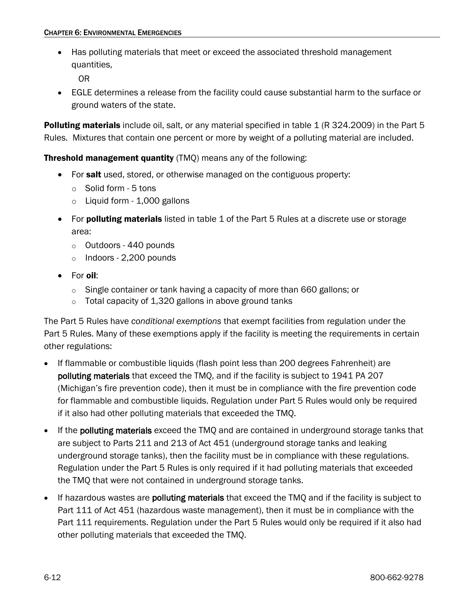• Has polluting materials that meet or exceed the associated threshold management quantities,

OR

• EGLE determines a release from the facility could cause substantial harm to the surface or ground waters of the state.

Polluting materials include oil, salt, or any material specified in table 1 (R 324.2009) in the Part 5 Rules. Mixtures that contain one percent or more by weight of a polluting material are included.

**Threshold management quantity** (TMQ) means any of the following:

- For salt used, stored, or otherwise managed on the contiguous property:
	- o Solid form 5 tons
	- o Liquid form 1,000 gallons
- For **polluting materials** listed in table 1 of the Part 5 Rules at a discrete use or storage area:
	- o Outdoors 440 pounds
	- o Indoors 2,200 pounds
- For oil:
	- o Single container or tank having a capacity of more than 660 gallons; or
	- $\circ$  Total capacity of 1,320 gallons in above ground tanks

The Part 5 Rules have *conditional exemptions* that exempt facilities from regulation under the Part 5 Rules. Many of these exemptions apply if the facility is meeting the requirements in certain other regulations:

- If flammable or combustible liquids (flash point less than 200 degrees Fahrenheit) are polluting materials that exceed the TMQ, and if the facility is subject to 1941 PA 207 (Michigan's fire prevention code), then it must be in compliance with the fire prevention code for flammable and combustible liquids. Regulation under Part 5 Rules would only be required if it also had other polluting materials that exceeded the TMQ.
- If the **polluting materials** exceed the TMO and are contained in underground storage tanks that are subject to Parts 211 and 213 of Act 451 (underground storage tanks and leaking underground storage tanks), then the facility must be in compliance with these regulations. Regulation under the Part 5 Rules is only required if it had polluting materials that exceeded the TMQ that were not contained in underground storage tanks.
- If hazardous wastes are **polluting materials** that exceed the TMQ and if the facility is subject to Part 111 of Act 451 (hazardous waste management), then it must be in compliance with the Part 111 requirements. Regulation under the Part 5 Rules would only be required if it also had other polluting materials that exceeded the TMQ.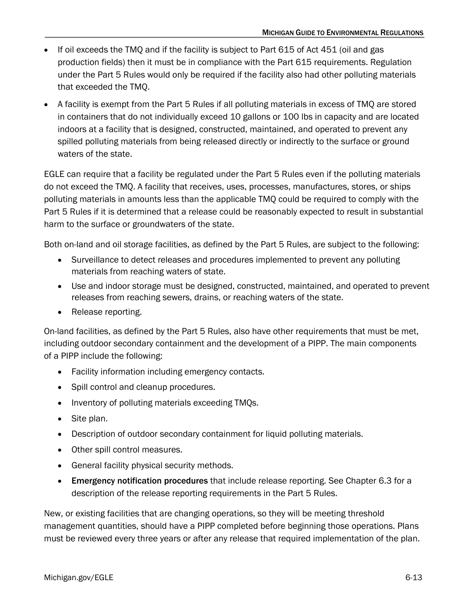- If oil exceeds the TMQ and if the facility is subject to Part 615 of Act 451 (oil and gas production fields) then it must be in compliance with the Part 615 requirements. Regulation under the Part 5 Rules would only be required if the facility also had other polluting materials that exceeded the TMQ.
- A facility is exempt from the Part 5 Rules if all polluting materials in excess of TMQ are stored in containers that do not individually exceed 10 gallons or 100 lbs in capacity and are located indoors at a facility that is designed, constructed, maintained, and operated to prevent any spilled polluting materials from being released directly or indirectly to the surface or ground waters of the state.

EGLE can require that a facility be regulated under the Part 5 Rules even if the polluting materials do not exceed the TMQ. A facility that receives, uses, processes, manufactures, stores, or ships polluting materials in amounts less than the applicable TMQ could be required to comply with the Part 5 Rules if it is determined that a release could be reasonably expected to result in substantial harm to the surface or groundwaters of the state.

Both on-land and oil storage facilities, as defined by the Part 5 Rules, are subject to the following:

- Surveillance to detect releases and procedures implemented to prevent any polluting materials from reaching waters of state.
- Use and indoor storage must be designed, constructed, maintained, and operated to prevent releases from reaching sewers, drains, or reaching waters of the state.
- Release reporting.

On-land facilities, as defined by the Part 5 Rules, also have other requirements that must be met, including outdoor secondary containment and the development of a PIPP. The main components of a PIPP include the following:

- Facility information including emergency contacts.
- Spill control and cleanup procedures.
- Inventory of polluting materials exceeding TMQs.
- Site plan.
- Description of outdoor secondary containment for liquid polluting materials.
- Other spill control measures.
- General facility physical security methods.
- Emergency notification procedures that include release reporting. See Chapter 6.3 for a description of the release reporting requirements in the Part 5 Rules.

New, or existing facilities that are changing operations, so they will be meeting threshold management quantities, should have a PIPP completed before beginning those operations. Plans must be reviewed every three years or after any release that required implementation of the plan.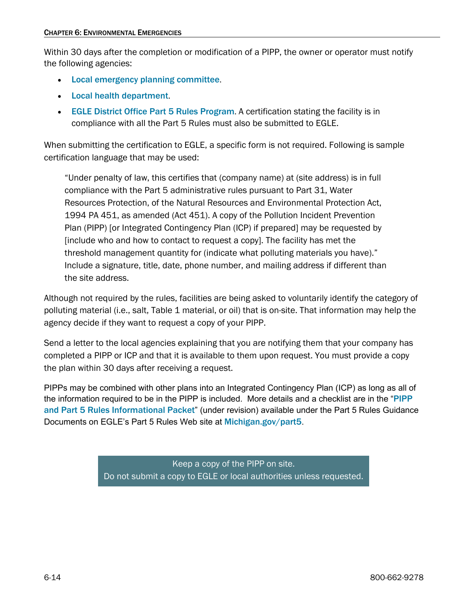Within 30 days after the completion or modification of a PIPP, the owner or operator must notify the following agencies:

- [Local emergency planning committee](https://www.michigan.gov/egle/regulatory-assistance/emergency-planning-and-community-right-to-know/emergency-planning-a/county-lepc-websites).
- [Local health department](https://www.michigan.gov/emergingdiseases/agencycontacts/local-health-department-map).
- [EGLE District Office Part 5 Rules Program](https://www.michigan.gov/-/media/Project/Websites/egle/Documents/Programs/WRD/About-Us/Staff-PIPP.pdf). A certification stating the facility is in compliance with all the Part 5 Rules must also be submitted to EGLE.

When submitting the certification to EGLE, a specific form is not required. Following is sample certification language that may be used:

"Under penalty of law, this certifies that (company name) at (site address) is in full compliance with the Part 5 administrative rules pursuant to Part 31, Water Resources Protection, of the Natural Resources and Environmental Protection Act, 1994 PA 451, as amended (Act 451). A copy of the Pollution Incident Prevention Plan (PIPP) [or Integrated Contingency Plan (ICP) if prepared] may be requested by [include who and how to contact to request a copy]. The facility has met the threshold management quantity for (indicate what polluting materials you have)." Include a signature, title, date, phone number, and mailing address if different than the site address.

Although not required by the rules, facilities are being asked to voluntarily identify the category of polluting material (i.e., salt, Table 1 material, or oil) that is on-site. That information may help the agency decide if they want to request a copy of your PIPP.

Send a letter to the local agencies explaining that you are notifying them that your company has completed a PIPP or ICP and that it is available to them upon request. You must provide a copy the plan within 30 days after receiving a request.

PIPPs may be combined with other plans into an Integrated Contingency Plan (ICP) as long as all of the information required to be in the PIPP is included. More details and a checklist are in the "[PIPP](https://www.michigan.gov/-/media/Project/Websites/egle/Documents/Programs/draft/deq-ead-tas-pipp5summary.pdf?rev=6307cdb6c0fe4583a06fc20720ae698a)  [and Part 5 Rules Informational Packet](https://www.michigan.gov/-/media/Project/Websites/egle/Documents/Programs/draft/deq-ead-tas-pipp5summary.pdf?rev=6307cdb6c0fe4583a06fc20720ae698a)" (under revision) available under the Part 5 Rules Guidance Documents on EGLE's Part 5 Rules Web site at [Michigan.gov/part5](https://www.michigan.gov/egle/about/organization/water-resources/part5-spills).

> <span id="page-13-0"></span>Keep a copy of the PIPP on site. Do not submit a copy to EGLE or local authorities unless requested.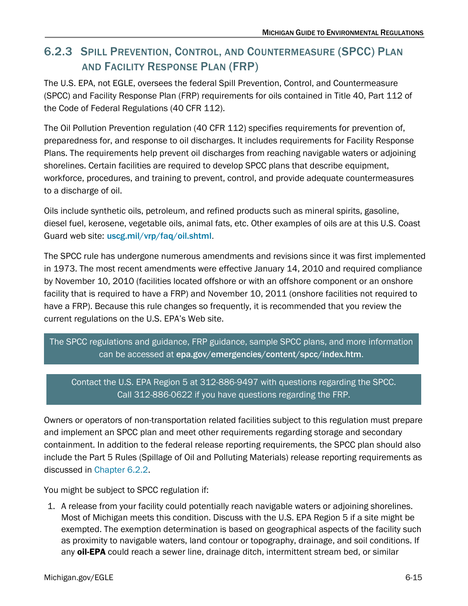## 6.2.3 SPILL PREVENTION, CONTROL, AND COUNTERMEASURE (SPCC) PLAN AND FACILITY RESPONSE PLAN (FRP)

The U.S. EPA, not EGLE, oversees the federal Spill Prevention, Control, and Countermeasure (SPCC) and Facility Response Plan (FRP) requirements for oils contained in Title 40, Part 112 of the Code of Federal Regulations (40 CFR 112).

The Oil Pollution Prevention regulation (40 CFR 112) specifies requirements for prevention of, preparedness for, and response to oil discharges. It includes requirements for Facility Response Plans. The requirements help prevent oil discharges from reaching navigable waters or adjoining shorelines. Certain facilities are required to develop SPCC plans that describe equipment, workforce, procedures, and training to prevent, control, and provide adequate countermeasures to a discharge of oil.

Oils include synthetic oils, petroleum, and refined products such as mineral spirits, gasoline, diesel fuel, kerosene, vegetable oils, animal fats, etc. Other examples of oils are at this U.S. Coast Guard web site: [uscg.mil/vrp/faq/oil.shtml](http://www.uscg.mil/vrp/faq/oil.shtml).

The SPCC rule has undergone numerous amendments and revisions since it was first implemented in 1973. The most recent amendments were effective January 14, 2010 and required compliance by November 10, 2010 (facilities located offshore or with an offshore component or an onshore facility that is required to have a FRP) and November 10, 2011 (onshore facilities not required to have a FRP). Because this rule changes so frequently, it is recommended that you review the current regulations on the U.S. EPA's Web site.

### The SPCC regulations and guidance, FRP guidance, sample SPCC plans, and more information can be accessed at [epa.gov/emergencies/content/spcc/index.htm](http://www.epa.gov/emergencies/content/spcc/index.htm).

### Contact the U.S. EPA Region 5 at 312-886-9497 with questions regarding the SPCC. Call 312-886-0622 if you have questions regarding the FRP.

Owners or operators of non-transportation related facilities subject to this regulation must prepare and implement an SPCC plan and meet other requirements regarding storage and secondary containment. In addition to the federal release reporting requirements, the SPCC plan should also include the Part 5 Rules (Spillage of Oil and Polluting Materials) release reporting requirements as discussed in [Chapter 6.2.2.](#page-10-0)

You might be subject to SPCC regulation if:

1. A release from your facility could potentially reach navigable waters or adjoining shorelines. Most of Michigan meets this condition. Discuss with the U.S. EPA Region 5 if a site might be exempted. The exemption determination is based on geographical aspects of the facility such as proximity to navigable waters, land contour or topography, drainage, and soil conditions. If any oil-EPA could reach a sewer line, drainage ditch, intermittent stream bed, or similar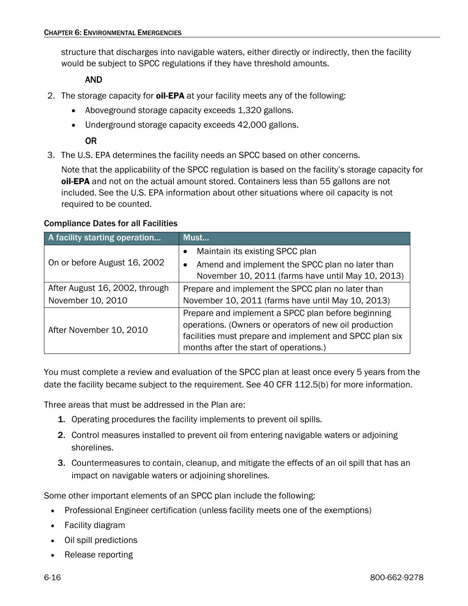structure that discharges into navigable waters, either directly or indirectly, then the facility would be subject to SPCC regulations if they have threshold amounts.

#### AND

- 2. The storage capacity for oil-EPA at your facility meets any of the following:
	- Aboveground storage capacity exceeds 1,320 gallons.
	- Underground storage capacity exceeds 42,000 gallons.

### OR

3. The U.S. EPA determines the facility needs an SPCC based on other concerns.

Note that the applicability of the SPCC regulation is based on the facility's storage capacity for oil-EPA and not on the actual amount stored. Containers less than 55 gallons are not included. See the U.S. EPA information about other situations where oil capacity is not required to be counted.

#### Compliance Dates for all Facilities

| A facility starting operation  | Must                                                         |  |  |
|--------------------------------|--------------------------------------------------------------|--|--|
|                                | Maintain its existing SPCC plan                              |  |  |
| On or before August 16, 2002   | Amend and implement the SPCC plan no later than<br>$\bullet$ |  |  |
|                                | November 10, 2011 (farms have until May 10, 2013)            |  |  |
| After August 16, 2002, through | Prepare and implement the SPCC plan no later than            |  |  |
| November 10, 2010              | November 10, 2011 (farms have until May 10, 2013)            |  |  |
|                                | Prepare and implement a SPCC plan before beginning           |  |  |
| After November 10, 2010        | operations. (Owners or operators of new oil production       |  |  |
|                                | facilities must prepare and implement and SPCC plan six      |  |  |
|                                | months after the start of operations.)                       |  |  |

You must complete a review and evaluation of the SPCC plan at least once every 5 years from the date the facility became subject to the requirement. See 40 CFR 112.5(b) for more information.

Three areas that must be addressed in the Plan are:

- 1. Operating procedures the facility implements to prevent oil spills.
- 2. Control measures installed to prevent oil from entering navigable waters or adjoining shorelines.
- 3. Countermeasures to contain, cleanup, and mitigate the effects of an oil spill that has an impact on navigable waters or adjoining shorelines.

Some other important elements of an SPCC plan include the following:

- Professional Engineer certification (unless facility meets one of the exemptions)
- Facility diagram
- Oil spill predictions
- Release reporting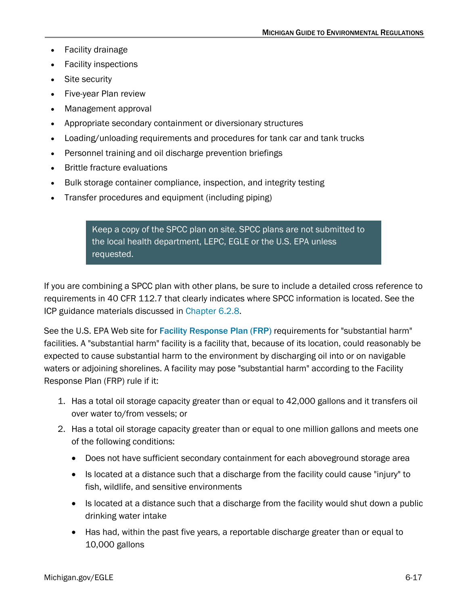- Facility drainage
- Facility inspections
- Site security
- Five-year Plan review
- Management approval
- Appropriate secondary containment or diversionary structures
- Loading/unloading requirements and procedures for tank car and tank trucks
- Personnel training and oil discharge prevention briefings
- Brittle fracture evaluations
- Bulk storage container compliance, inspection, and integrity testing
- Transfer procedures and equipment (including piping)

Keep a copy of the SPCC plan on site. SPCC plans are not submitted to the local health department, LEPC, EGLE or the U.S. EPA unless requested.

If you are combining a SPCC plan with other plans, be sure to include a detailed cross reference to requirements in 40 CFR 112.7 that clearly indicates where SPCC information is located. See the ICP guidance materials discussed in [Chapter 6.2.8.](#page-21-0)

See the U.S. EPA Web site for [Facility Response Plan \(FRP\)](https://www.epa.gov/oil-spills-prevention-and-preparedness-regulations/facility-response-plan-frp-overview) requirements for "substantial harm" facilities. A "substantial harm" facility is a facility that, because of its location, could reasonably be expected to cause substantial harm to the environment by discharging oil into or on navigable waters or adjoining shorelines. A facility may pose "substantial harm" according to the Facility Response Plan (FRP) rule if it:

- 1. Has a total oil storage capacity greater than or equal to 42,000 gallons and it transfers oil over water to/from vessels; or
- 2. Has a total oil storage capacity greater than or equal to one million gallons and meets one of the following conditions:
	- Does not have sufficient secondary containment for each aboveground storage area
	- Is located at a distance such that a discharge from the facility could cause "injury" to fish, wildlife, and sensitive environments
	- Is located at a distance such that a discharge from the facility would shut down a public drinking water intake
	- Has had, within the past five years, a reportable discharge greater than or equal to 10,000 gallons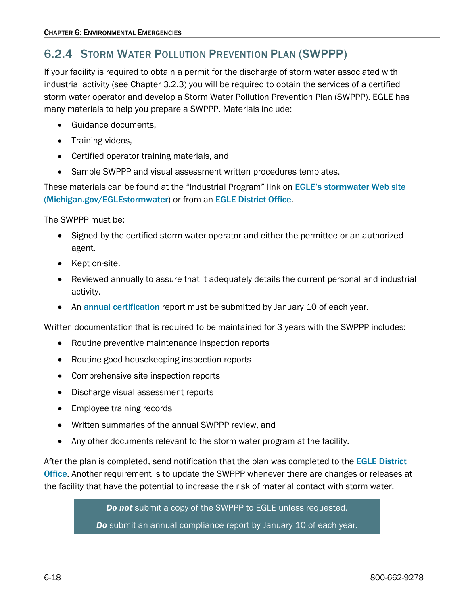## <span id="page-17-0"></span>6.2.4 STORM WATER POLLUTION PREVENTION PLAN (SWPPP)

If your facility is required to obtain a permit for the discharge of storm water associated with industrial activity (see Chapter 3.2.3) you will be required to obtain the services of a certified storm water operator and develop a Storm Water Pollution Prevention Plan (SWPPP). EGLE has many materials to help you prepare a SWPPP. Materials include:

- Guidance documents,
- Training videos,
- Certified operator training materials, and
- Sample SWPPP and visual assessment written procedures templates.

These materials can be found at the "Industrial Program" link on [EGLE's stormwater Web site](https://www.michigan.gov/egle/about/organization/water-resources/storm-water) [\(Michigan.gov/EGLEstormwater](https://www.michigan.gov/egle/about/organization/water-resources/storm-water)) or from an [EGLE District Office](https://www.michigan.gov/egle/contact/district-office-locations).

The SWPPP must be:

- Signed by the certified storm water operator and either the permittee or an authorized agent.
- Kept on-site.
- Reviewed annually to assure that it adequately details the current personal and industrial activity.
- An [annual certification](https://www.michigan.gov/egle/-/media/Project/Websites/egle/Documents/Forms/WRD/Storm-Water-Industrial/EQP9304-Storm-Water-Pollution-Prevention-Plan-Annual-Review-Report-Form.pdf) report must be submitted by January 10 of each year.

Written documentation that is required to be maintained for 3 years with the SWPPP includes:

- Routine preventive maintenance inspection reports
- Routine good housekeeping inspection reports
- Comprehensive site inspection reports
- Discharge visual assessment reports
- Employee training records
- Written summaries of the annual SWPPP review, and
- Any other documents relevant to the storm water program at the facility.

After the plan is completed, send notification that the plan was completed to the EGLE District [Office](https://www.michigan.gov/egle/contact/district-office-locations). Another requirement is to update the SWPPP whenever there are changes or releases at the facility that have the potential to increase the risk of material contact with storm water.

*Do not* submit a copy of the SWPPP to EGLE unless requested.

*Do* submit an annual compliance report by January 10 of each year.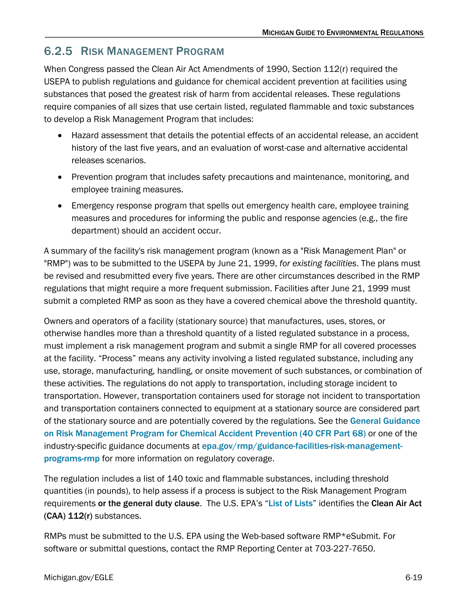## <span id="page-18-0"></span>6.2.5 RISK MANAGEMENT PROGRAM

When Congress passed the Clean Air Act Amendments of 1990, Section 112(r) required the USEPA to publish regulations and guidance for chemical accident prevention at facilities using substances that posed the greatest risk of harm from accidental releases. These regulations require companies of all sizes that use certain listed, regulated flammable and toxic substances to develop a Risk Management Program that includes:

- Hazard assessment that details the potential effects of an accidental release, an accident history of the last five years, and an evaluation of worst-case and alternative accidental releases scenarios.
- Prevention program that includes safety precautions and maintenance, monitoring, and employee training measures.
- Emergency response program that spells out emergency health care, employee training measures and procedures for informing the public and response agencies (e.g., the fire department) should an accident occur.

A summary of the facility's risk management program (known as a "Risk Management Plan" or "RMP") was to be submitted to the USEPA by June 21, 1999, *for existing facilities*. The plans must be revised and resubmitted every five years. There are other circumstances described in the RMP regulations that might require a more frequent submission. Facilities after June 21, 1999 must submit a completed RMP as soon as they have a covered chemical above the threshold quantity.

Owners and operators of a facility (stationary source) that manufactures, uses, stores, or otherwise handles more than a threshold quantity of a listed regulated substance in a process, must implement a risk management program and submit a single RMP for all covered processes at the facility. "Process" means any activity involving a listed regulated substance, including any use, storage, manufacturing, handling, or onsite movement of such substances, or combination of these activities. The regulations do not apply to transportation, including storage incident to transportation. However, transportation containers used for storage not incident to transportation and transportation containers connected to equipment at a stationary source are considered part of the stationary source and are potentially covered by the regulations. See the [General Guidance](https://www.epa.gov/rmp/chemical-accident-prevention-publications)  [on Risk Management Program for Chemical Accident Prevention \(40 CFR Part 68\)](https://www.epa.gov/rmp/chemical-accident-prevention-publications) or one of the industry-specific guidance documents at [epa.gov/rmp/guidance-facilities-risk-management](http://www.epa.gov/rmp/guidance-facilities-risk-management-programs-rmp)[programs-rmp](http://www.epa.gov/rmp/guidance-facilities-risk-management-programs-rmp) for more information on regulatory coverage.

The regulation includes a list of 140 toxic and flammable substances, including threshold quantities (in pounds), to help assess if a process is subject to the Risk Management Program requirements or the general duty clause. The U.S. EPA's "[List of Lists](https://www.epa.gov/emergency-response#lol)" identifies the Clean Air Act (CAA) 112(r) substances.

RMPs must be submitted to the U.S. EPA using the Web-based software RMP\*eSubmit. For software or submittal questions, contact the RMP Reporting Center at 703-227-7650.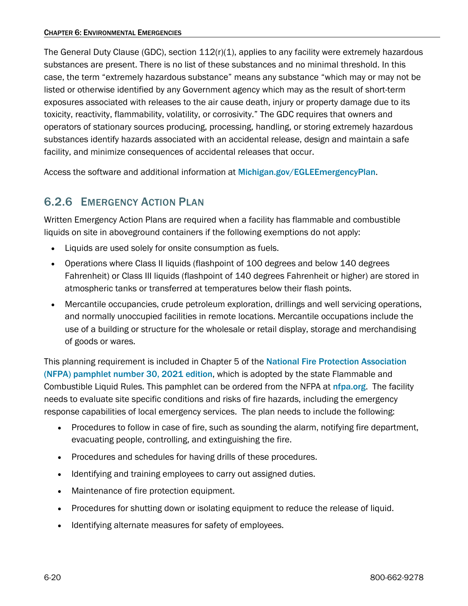The General Duty Clause (GDC), section 112(r)(1), applies to any facility were extremely hazardous substances are present. There is no list of these substances and no minimal threshold. In this case, the term "extremely hazardous substance" means any substance "which may or may not be listed or otherwise identified by any Government agency which may as the result of short-term exposures associated with releases to the air cause death, injury or property damage due to its toxicity, reactivity, flammability, volatility, or corrosivity." The GDC requires that owners and operators of stationary sources producing, processing, handling, or storing extremely hazardous substances identify hazards associated with an accidental release, design and maintain a safe facility, and minimize consequences of accidental releases that occur.

Access the software and additional information at [Michigan.gov/EGLEEmergencyPlan](https://www.michigan.gov/egle/Regulatory-Assistance/Emergency-Planning-and-Community-Right-to-Know).

### <span id="page-19-0"></span>6.2.6 EMERGENCY ACTION PLAN

Written Emergency Action Plans are required when a facility has flammable and combustible liquids on site in aboveground containers if the following exemptions do not apply:

- Liquids are used solely for onsite consumption as fuels.
- Operations where Class II liquids (flashpoint of 100 degrees and below 140 degrees Fahrenheit) or Class III liquids (flashpoint of 140 degrees Fahrenheit or higher) are stored in atmospheric tanks or transferred at temperatures below their flash points.
- Mercantile occupancies, crude petroleum exploration, drillings and well servicing operations, and normally unoccupied facilities in remote locations. Mercantile occupations include the use of a building or structure for the wholesale or retail display, storage and merchandising of goods or wares.

This planning requirement is included in Chapter 5 of the [National Fire Protection Association](https://www.nfpa.org/codes-and-standards/all-codes-and-standards/list-of-codes-and-standards/detail?code=30)  [\(NFPA\) pamphlet number 30, 2021](https://www.nfpa.org/codes-and-standards/all-codes-and-standards/list-of-codes-and-standards/detail?code=30) edition, which is adopted by the state Flammable and Combustible Liquid Rules. This pamphlet can be ordered from the NFPA at [nfpa.org](https://www.nfpa.org/). The facility needs to evaluate site specific conditions and risks of fire hazards, including the emergency response capabilities of local emergency services. The plan needs to include the following:

- Procedures to follow in case of fire, such as sounding the alarm, notifying fire department, evacuating people, controlling, and extinguishing the fire.
- Procedures and schedules for having drills of these procedures.
- Identifying and training employees to carry out assigned duties.
- Maintenance of fire protection equipment.
- Procedures for shutting down or isolating equipment to reduce the release of liquid.
- Identifying alternate measures for safety of employees.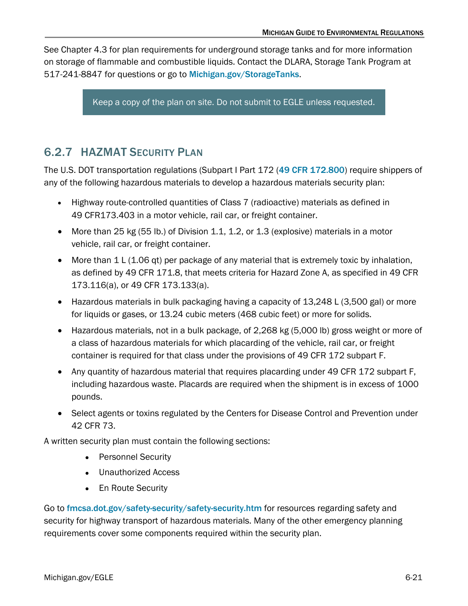See Chapter 4.3 for plan requirements for underground storage tanks and for more information on storage of flammable and combustible liquids. Contact the DLARA, Storage Tank Program at 517-241-8847 for questions or go to [Michigan.gov/StorageTanks](https://www.michigan.gov/lara/bureau-list/bfs/storage-tanks).

Keep a copy of the plan on site. Do not submit to EGLE unless requested.

## <span id="page-20-0"></span>6.2.7 HAZMAT SECURITY PLAN

The U.S. DOT transportation regulations (Subpart I Part 172 ([49 CFR 172.800](https://www.ecfr.gov/)) require shippers of any of the following hazardous materials to develop a hazardous materials security plan:

- Highway route-controlled quantities of Class 7 (radioactive) materials as defined in 49 CFR173.403 in a motor vehicle, rail car, or freight container.
- More than 25 kg (55 lb.) of Division 1.1, 1.2, or 1.3 (explosive) materials in a motor vehicle, rail car, or freight container.
- More than 1 L (1.06 qt) per package of any material that is extremely toxic by inhalation, as defined by 49 CFR 171.8, that meets criteria for Hazard Zone A, as specified in 49 CFR 173.116(a), or 49 CFR 173.133(a).
- Hazardous materials in bulk packaging having a capacity of 13,248 L (3,500 gal) or more for liquids or gases, or 13.24 cubic meters (468 cubic feet) or more for solids.
- Hazardous materials, not in a bulk package, of 2,268 kg (5,000 lb) gross weight or more of a class of hazardous materials for which placarding of the vehicle, rail car, or freight container is required for that class under the provisions of 49 CFR 172 subpart F.
- Any quantity of hazardous material that requires placarding under 49 CFR 172 subpart F, including hazardous waste. Placards are required when the shipment is in excess of 1000 pounds.
- Select agents or toxins regulated by the Centers for Disease Control and Prevention under 42 CFR 73.

A written security plan must contain the following sections:

- Personnel Security
- Unauthorized Access
- En Route Security

Go to [fmcsa.dot.gov/safety-security/safety-security.htm](https://www.fmcsa.dot.gov/safety) for resources regarding safety and security for highway transport of hazardous materials. Many of the other emergency planning requirements cover some components required within the security plan.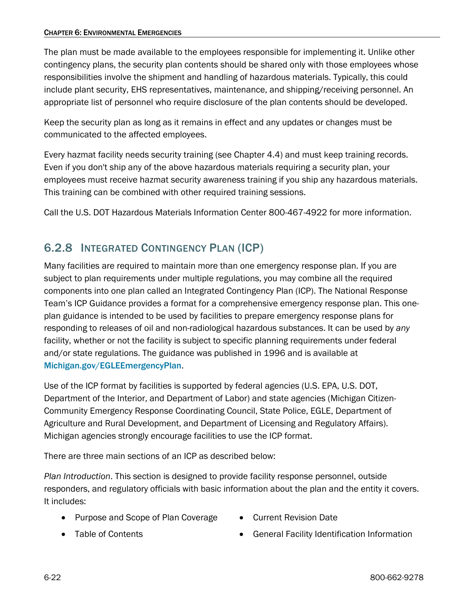The plan must be made available to the employees responsible for implementing it. Unlike other contingency plans, the security plan contents should be shared only with those employees whose responsibilities involve the shipment and handling of hazardous materials. Typically, this could include plant security, EHS representatives, maintenance, and shipping/receiving personnel. An appropriate list of personnel who require disclosure of the plan contents should be developed.

Keep the security plan as long as it remains in effect and any updates or changes must be communicated to the affected employees.

Every hazmat facility needs security training (see Chapter 4.4) and must keep training records. Even if you don't ship any of the above hazardous materials requiring a security plan, your employees must receive hazmat security awareness training if you ship any hazardous materials. This training can be combined with other required training sessions.

Call the U.S. DOT Hazardous Materials Information Center 800-467-4922 for more information.

## <span id="page-21-0"></span>6.2.8 INTEGRATED CONTINGENCY PLAN (ICP)

Many facilities are required to maintain more than one emergency response plan. If you are subject to plan requirements under multiple regulations, you may combine all the required components into one plan called an Integrated Contingency Plan (ICP). The National Response Team's ICP Guidance provides a format for a comprehensive emergency response plan. This oneplan guidance is intended to be used by facilities to prepare emergency response plans for responding to releases of oil and non-radiological hazardous substances. It can be used by *any* facility, whether or not the facility is subject to specific planning requirements under federal and/or state regulations. The guidance was published in 1996 and is available at [Michigan.gov/EGLEEmergencyPlan](https://www.michigan.gov/egle/Regulatory-Assistance/Emergency-Planning-and-Community-Right-to-Know).

Use of the ICP format by facilities is supported by federal agencies (U.S. EPA, U.S. DOT, Department of the Interior, and Department of Labor) and state agencies (Michigan Citizen-Community Emergency Response Coordinating Council, State Police, EGLE, Department of Agriculture and Rural Development, and Department of Licensing and Regulatory Affairs). Michigan agencies strongly encourage facilities to use the ICP format.

There are three main sections of an ICP as described below:

*Plan Introduction*. This section is designed to provide facility response personnel, outside responders, and regulatory officials with basic information about the plan and the entity it covers. It includes:

- Purpose and Scope of Plan Coverage
- Current Revision Date

• Table of Contents

• General Facility Identification Information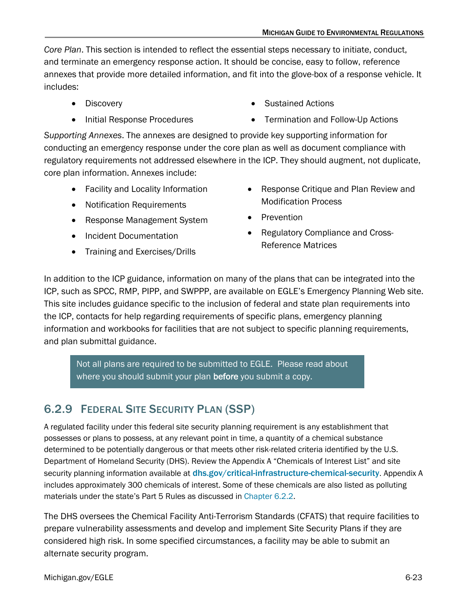*Core Plan*. This section is intended to reflect the essential steps necessary to initiate, conduct, and terminate an emergency response action. It should be concise, easy to follow, reference annexes that provide more detailed information, and fit into the glove-box of a response vehicle. It includes:

- Discovery
- Initial Response Procedures
- Sustained Actions
- Termination and Follow-Up Actions

*Supporting Annexes*. The annexes are designed to provide key supporting information for conducting an emergency response under the core plan as well as document compliance with regulatory requirements not addressed elsewhere in the ICP. They should augment, not duplicate, core plan information. Annexes include:

- Facility and Locality Information
- Notification Requirements
- Response Management System
- Incident Documentation
- Training and Exercises/Drills
- Response Critique and Plan Review and Modification Process
- Prevention
- Regulatory Compliance and Cross-Reference Matrices

In addition to the ICP guidance, information on many of the plans that can be integrated into the ICP, such as SPCC, RMP, PIPP, and SWPPP, are available on EGLE's Emergency Planning Web site. This site includes guidance specific to the inclusion of federal and state plan requirements into the ICP, contacts for help regarding requirements of specific plans, emergency planning information and workbooks for facilities that are not subject to specific planning requirements, and plan submittal guidance.

Not all plans are required to be submitted to EGLE. Please read about where you should submit your plan before you submit a copy.

## <span id="page-22-0"></span>6.2.9 FEDERAL SITE SECURITY PLAN (SSP)

A regulated facility under this federal site security planning requirement is any establishment that possesses or plans to possess, at any relevant point in time, a quantity of a chemical substance determined to be potentially dangerous or that meets other risk-related criteria identified by the U.S. Department of Homeland Security (DHS). Review the Appendix A "Chemicals of Interest List" and site security planning information available at **[dhs.gov/critical-infrastructure-chemical-security](https://www.cisa.gov/chemical-security)**. Appendix A includes approximately 300 chemicals of interest. Some of these chemicals are also listed as polluting materials under the state's Part 5 Rules as discussed in [Chapter 6.2.2.](#page-10-0)

The DHS oversees the Chemical Facility Anti-Terrorism Standards (CFATS) that require facilities to prepare vulnerability assessments and develop and implement Site Security Plans if they are considered high risk. In some specified circumstances, a facility may be able to submit an alternate security program.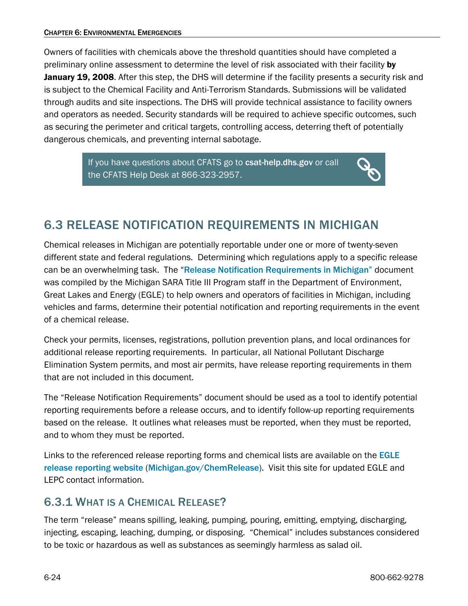Owners of facilities with chemicals above the threshold quantities should have completed a preliminary online assessment to determine the level of risk associated with their facility by January 19, 2008. After this step, the DHS will determine if the facility presents a security risk and is subject to the Chemical Facility and Anti-Terrorism Standards. Submissions will be validated through audits and site inspections. The DHS will provide technical assistance to facility owners and operators as needed. Security standards will be required to achieve specific outcomes, such as securing the perimeter and critical targets, controlling access, deterring theft of potentially dangerous chemicals, and preventing internal sabotage.

> If you have questions about CFATS go to [csat-help.dhs.gov](http://csat-help.dhs.gov/) or call the CFATS Help Desk at 866-323-2957.

## <span id="page-23-0"></span>6.3 RELEASE NOTIFICATION REQUIREMENTS IN MICHIGAN

Chemical releases in Michigan are potentially reportable under one or more of twenty-seven different state and federal regulations. Determining which regulations apply to a specific release can be an overwhelming task. The "[Release Notification Requirements in Michigan"](https://www.michigan.gov/-/media/Project/Websites/egle/Documents/Spill-Release-Reporting/Release-Reporting-Requirements.pdf) document was compiled by the Michigan SARA Title III Program staff in the Department of Environment, Great Lakes and Energy (EGLE) to help owners and operators of facilities in Michigan, including vehicles and farms, determine their potential notification and reporting requirements in the event of a chemical release.

Check your permits, licenses, registrations, pollution prevention plans, and local ordinances for additional release reporting requirements. In particular, all National Pollutant Discharge Elimination System permits, and most air permits, have release reporting requirements in them that are not included in this document.

The "Release Notification Requirements" document should be used as a tool to identify potential reporting requirements before a release occurs, and to identify follow-up reporting requirements based on the release. It outlines what releases must be reported, when they must be reported, and to whom they must be reported.

Links to the referenced release reporting forms and chemical lists are available on the **EGLE** [release reporting website](https://www.michigan.gov/egle/regulatory-assistance/emergency-planning-and-community-right-to-know/spill-release-reporting) ([Michigan.gov/ChemRelease](https://www.michigan.gov/egle/regulatory-assistance/emergency-planning-and-community-right-to-know/spill-release-reporting)). Visit this site for updated EGLE and LEPC contact information.

## <span id="page-23-1"></span>6.3.1 WHAT IS A CHEMICAL RELEASE?

The term "release" means spilling, leaking, pumping, pouring, emitting, emptying, discharging, injecting, escaping, leaching, dumping, or disposing. "Chemical" includes substances considered to be toxic or hazardous as well as substances as seemingly harmless as salad oil.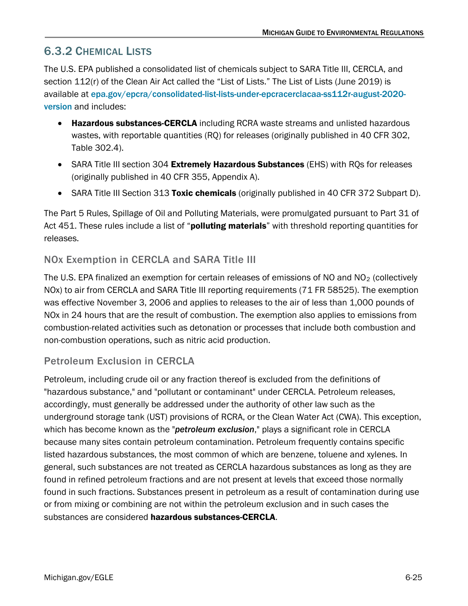## <span id="page-24-0"></span>6.3.2 CHEMICAL LISTS

The U.S. EPA published a consolidated list of chemicals subject to SARA Title III, CERCLA, and section 112(r) of the Clean Air Act called the "List of Lists." The List of Lists (June 2019) is available at [epa.gov/epcra/consolidated-list-lists-under-epcracerclacaa-ss112r-august-2020](https://www.epa.gov/epcra/consolidated-list-lists-under-epcracerclacaa-ss112r-april-2022-version) [version](https://www.epa.gov/epcra/consolidated-list-lists-under-epcracerclacaa-ss112r-april-2022-version) and includes:

- Hazardous substances-CERCLA including RCRA waste streams and unlisted hazardous wastes, with reportable quantities (RQ) for releases (originally published in 40 CFR 302, Table 302.4).
- SARA Title III section 304 Extremely Hazardous Substances (EHS) with ROs for releases (originally published in 40 CFR 355, Appendix A).
- SARA Title III Section 313 Toxic chemicals (originally published in 40 CFR 372 Subpart D).

The Part 5 Rules, Spillage of Oil and Polluting Materials, were promulgated pursuant to Part 31 of Act 451. These rules include a list of "**polluting materials**" with threshold reporting quantities for releases.

### NOx Exemption in CERCLA and SARA Title III

The U.S. EPA finalized an exemption for certain releases of emissions of NO and  $NO<sub>2</sub>$  (collectively NOx) to air from CERCLA and SARA Title III reporting requirements (71 FR 58525). The exemption was effective November 3, 2006 and applies to releases to the air of less than 1,000 pounds of NOx in 24 hours that are the result of combustion. The exemption also applies to emissions from combustion-related activities such as detonation or processes that include both combustion and non-combustion operations, such as nitric acid production.

### Petroleum Exclusion in CERCLA

Petroleum, including crude oil or any fraction thereof is excluded from the definitions of "hazardous substance," and "pollutant or contaminant" under CERCLA. Petroleum releases, accordingly, must generally be addressed under the authority of other law such as the underground storage tank (UST) provisions of RCRA, or the Clean Water Act (CWA). This exception, which has become known as the "*petroleum exclusion*," plays a significant role in CERCLA because many sites contain petroleum contamination. Petroleum frequently contains specific listed hazardous substances, the most common of which are benzene, toluene and xylenes. In general, such substances are not treated as CERCLA hazardous substances as long as they are found in refined petroleum fractions and are not present at levels that exceed those normally found in such fractions. Substances present in petroleum as a result of contamination during use or from mixing or combining are not within the petroleum exclusion and in such cases the substances are considered **hazardous substances-CERCLA**.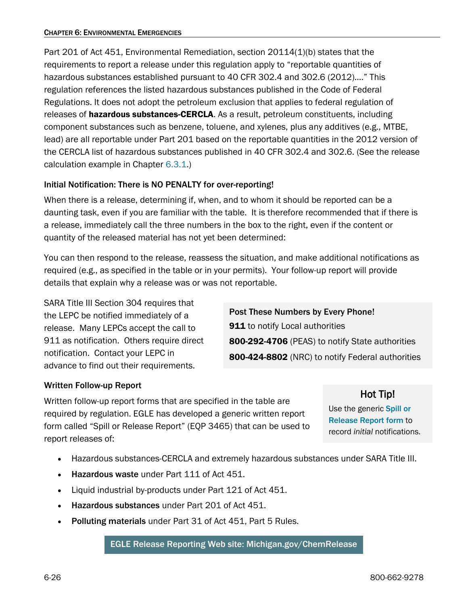Part 201 of Act 451, Environmental Remediation, section 20114(1)(b) states that the requirements to report a release under this regulation apply to "reportable quantities of hazardous substances established pursuant to 40 CFR 302.4 and 302.6 (2012)…." This regulation references the listed hazardous substances published in the Code of Federal Regulations. It does not adopt the petroleum exclusion that applies to federal regulation of releases of **hazardous substances-CERCLA**. As a result, petroleum constituents, including component substances such as benzene, toluene, and xylenes, plus any additives (e.g., MTBE, lead) are all reportable under Part 201 based on the reportable quantities in the 2012 version of the CERCLA list of hazardous substances published in 40 CFR 302.4 and 302.6. (See the release calculation example in Chapte[r 6.3.1.](#page-23-1))

### Initial Notification: There is NO PENALTY for over-reporting!

When there is a release, determining if, when, and to whom it should be reported can be a daunting task, even if you are familiar with the table. It is therefore recommended that if there is a release, immediately call the three numbers in the box to the right, even if the content or quantity of the released material has not yet been determined:

You can then respond to the release, reassess the situation, and make additional notifications as required (e.g., as specified in the table or in your permits). Your follow-up report will provide details that explain why a release was or was not reportable.

SARA Title III Section 304 requires that the LEPC be notified immediately of a release. Many LEPCs accept the call to 911 as notification. Others require direct notification. Contact your LEPC in advance to find out their requirements.

Post These Numbers by Every Phone! **911** to notify Local authorities 800-292-4706 (PEAS) to notify State authorities 800-424-8802 (NRC) to notify Federal authorities

### Written Follow-up Report

Written follow-up report forms that are specified in the table are required by regulation. EGLE has developed a generic written report form called "Spill or Release Report" (EQP 3465) that can be used to report releases of:

Hot Tip!

Use the generic Spill or [Release Report form](https://www.michigan.gov/-/media/Project/Websites/egle/Documents/Forms/ESD/EQP3465-Spill-or-Release-Report.pdf) to record *initial* notifications.

- Hazardous substances-CERCLA and extremely hazardous substances under SARA Title III.
- Hazardous waste under Part 111 of Act 451.
- Liquid industrial by-products under Part 121 of Act 451.
- Hazardous substances under Part 201 of Act 451.
- Polluting materials under Part 31 of Act 451, Part 5 Rules.

EGLE Release Reporting Web site: [Michigan.gov/ChemRelease](http://www.michigan.gov/chemrelease)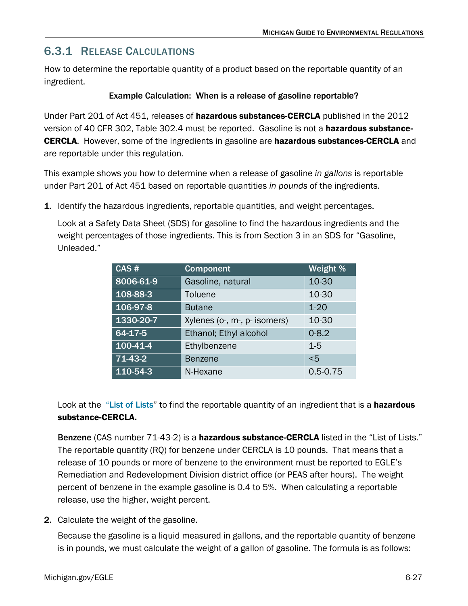## <span id="page-26-0"></span>6.3.1 RELEASE CALCULATIONS

How to determine the reportable quantity of a product based on the reportable quantity of an ingredient.

### Example Calculation: When is a release of gasoline reportable?

Under Part 201 of Act 451, releases of **hazardous substances-CERCLA** published in the 2012 version of 40 CFR 302, Table 302.4 must be reported. Gasoline is not a **hazardous substance-**CERCLA. However, some of the ingredients in gasoline are hazardous substances-CERCLA and are reportable under this regulation.

This example shows you how to determine when a release of gasoline *in gallons* is reportable under Part 201 of Act 451 based on reportable quantities *in pounds* of the ingredients.

1. Identify the hazardous ingredients, reportable quantities, and weight percentages.

Look at a Safety Data Sheet (SDS) for gasoline to find the hazardous ingredients and the weight percentages of those ingredients. This is from Section 3 in an SDS for "Gasoline, Unleaded."

| CAS #          | <b>Component</b>             | Weight %     |  |
|----------------|------------------------------|--------------|--|
| 8006-61-9      | Gasoline, natural            | 10-30        |  |
| 108-88-3       | Toluene                      | 10-30        |  |
| 106-97-8       | <b>Butane</b>                | $1 - 20$     |  |
| 1330-20-7      | Xylenes (o-, m-, p- isomers) | 10-30        |  |
| 64-17-5        | Ethanol; Ethyl alcohol       | $0 - 8.2$    |  |
| $100 - 41 - 4$ | Ethylbenzene                 | $1-5$        |  |
| 71-43-2        | <b>Benzene</b>               | < 5          |  |
| 110-54-3       | N-Hexane                     | $0.5 - 0.75$ |  |

Look at the ["List of Lists](https://www.epa.gov/epcra/consolidated-list-lists-under-epcracerclacaa-ss112r-april-2022-version)" to find the reportable quantity of an ingredient that is a **hazardous** substance-CERCLA.

Benzene (CAS number 71-43-2) is a hazardous substance-CERCLA listed in the "List of Lists." The reportable quantity (RQ) for benzene under CERCLA is 10 pounds. That means that a release of 10 pounds or more of benzene to the environment must be reported to EGLE's Remediation and Redevelopment Division district office (or PEAS after hours). The weight percent of benzene in the example gasoline is 0.4 to 5%. When calculating a reportable release, use the higher, weight percent.

2. Calculate the weight of the gasoline.

Because the gasoline is a liquid measured in gallons, and the reportable quantity of benzene is in pounds, we must calculate the weight of a gallon of gasoline. The formula is as follows: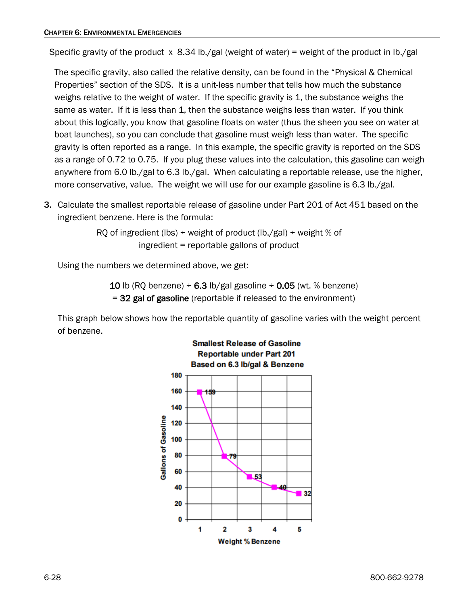Specific gravity of the product x 8.34 lb./gal (weight of water) = weight of the product in lb./gal

The specific gravity, also called the relative density, can be found in the "Physical & Chemical Properties" section of the SDS. It is a unit-less number that tells how much the substance weighs relative to the weight of water. If the specific gravity is 1, the substance weighs the same as water. If it is less than 1, then the substance weighs less than water. If you think about this logically, you know that gasoline floats on water (thus the sheen you see on water at boat launches), so you can conclude that gasoline must weigh less than water. The specific gravity is often reported as a range. In this example, the specific gravity is reported on the SDS as a range of 0.72 to 0.75. If you plug these values into the calculation, this gasoline can weigh anywhere from 6.0 lb./gal to 6.3 lb./gal. When calculating a reportable release, use the higher, more conservative, value. The weight we will use for our example gasoline is 6.3 lb./gal.

3. Calculate the smallest reportable release of gasoline under Part 201 of Act 451 based on the ingredient benzene. Here is the formula:

> RQ of ingredient (lbs)  $\div$  weight of product (lb./gal)  $\div$  weight % of ingredient = reportable gallons of product

Using the numbers we determined above, we get:

10 lb (RQ benzene)  $\div$  6.3 lb/gal gasoline  $\div$  0.05 (wt. % benzene) = 32 gal of gasoline (reportable if released to the environment)

This graph below shows how the reportable quantity of gasoline varies with the weight percent of benzene.

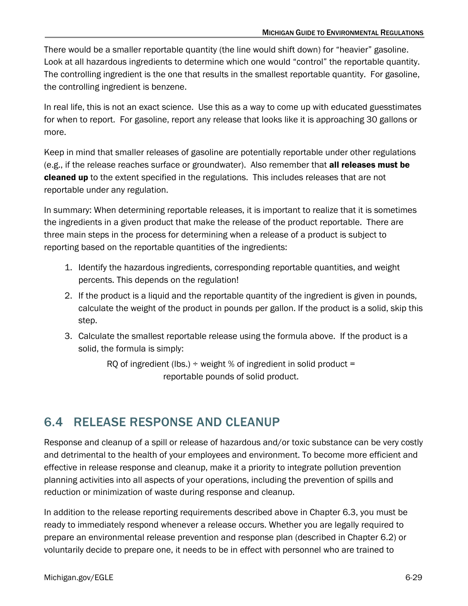There would be a smaller reportable quantity (the line would shift down) for "heavier" gasoline. Look at all hazardous ingredients to determine which one would "control" the reportable quantity. The controlling ingredient is the one that results in the smallest reportable quantity. For gasoline, the controlling ingredient is benzene.

In real life, this is not an exact science. Use this as a way to come up with educated guesstimates for when to report. For gasoline, report any release that looks like it is approaching 30 gallons or more.

Keep in mind that smaller releases of gasoline are potentially reportable under other regulations (e.g., if the release reaches surface or groundwater). Also remember that all releases must be cleaned up to the extent specified in the regulations. This includes releases that are not reportable under any regulation.

In summary: When determining reportable releases, it is important to realize that it is sometimes the ingredients in a given product that make the release of the product reportable. There are three main steps in the process for determining when a release of a product is subject to reporting based on the reportable quantities of the ingredients:

- 1. Identify the hazardous ingredients, corresponding reportable quantities, and weight percents. This depends on the regulation!
- 2. If the product is a liquid and the reportable quantity of the ingredient is given in pounds, calculate the weight of the product in pounds per gallon. If the product is a solid, skip this step.
- 3. Calculate the smallest reportable release using the formula above. If the product is a solid, the formula is simply:

RQ of ingredient (lbs.)  $\div$  weight % of ingredient in solid product = reportable pounds of solid product.

## <span id="page-28-0"></span>6.4 RELEASE RESPONSE AND CLEANUP

Response and cleanup of a spill or release of hazardous and/or toxic substance can be very costly and detrimental to the health of your employees and environment. To become more efficient and effective in release response and cleanup, make it a priority to integrate pollution prevention planning activities into all aspects of your operations, including the prevention of spills and reduction or minimization of waste during response and cleanup.

In addition to the release reporting requirements described above in Chapter 6.3, you must be ready to immediately respond whenever a release occurs. Whether you are legally required to prepare an environmental release prevention and response plan (described in Chapter 6.2) or voluntarily decide to prepare one, it needs to be in effect with personnel who are trained to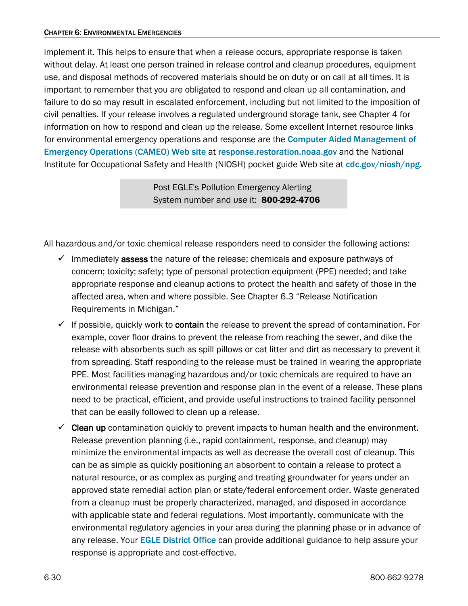#### CHAPTER 6: ENVIRONMENTAL EMERGENCIES

implement it. This helps to ensure that when a release occurs, appropriate response is taken without delay. At least one person trained in release control and cleanup procedures, equipment use, and disposal methods of recovered materials should be on duty or on call at all times. It is important to remember that you are obligated to respond and clean up all contamination, and failure to do so may result in escalated enforcement, including but not limited to the imposition of civil penalties. If your release involves a regulated underground storage tank, see Chapter 4 for information on how to respond and clean up the release. Some excellent Internet resource links for environmental emergency operations and response are the [Computer Aided Management of](https://response.restoration.noaa.gov/oil-and-chemical-spills/chemical-spills/response-tools/cameo-software-suite.html)  [Emergency Operations \(CAMEO\) Web site](https://response.restoration.noaa.gov/oil-and-chemical-spills/chemical-spills/response-tools/cameo-software-suite.html) at [response.restoration.noaa.gov](https://response.restoration.noaa.gov/) and the National Institute for Occupational Safety and Health (NIOSH) pocket guide Web site at [cdc.gov/niosh/npg](https://www.cdc.gov/niosh/npg/).

> Post EGLE's Pollution Emergency Alerting System number and *use* it: 800-292-4706

All hazardous and/or toxic chemical release responders need to consider the following actions:

- $\checkmark$  Immediately assess the nature of the release; chemicals and exposure pathways of concern; toxicity; safety; type of personal protection equipment (PPE) needed; and take appropriate response and cleanup actions to protect the health and safety of those in the affected area, when and where possible. See Chapter 6.3 "Release Notification Requirements in Michigan."
- $\checkmark$  If possible, quickly work to **contain** the release to prevent the spread of contamination. For example, cover floor drains to prevent the release from reaching the sewer, and dike the release with absorbents such as spill pillows or cat litter and dirt as necessary to prevent it from spreading. Staff responding to the release must be trained in wearing the appropriate PPE. Most facilities managing hazardous and/or toxic chemicals are required to have an environmental release prevention and response plan in the event of a release. These plans need to be practical, efficient, and provide useful instructions to trained facility personnel that can be easily followed to clean up a release.
- $\checkmark$  Clean up contamination quickly to prevent impacts to human health and the environment. Release prevention planning (i.e., rapid containment, response, and cleanup) may minimize the environmental impacts as well as decrease the overall cost of cleanup. This can be as simple as quickly positioning an absorbent to contain a release to protect a natural resource, or as complex as purging and treating groundwater for years under an approved state remedial action plan or state/federal enforcement order. Waste generated from a cleanup must be properly characterized, managed, and disposed in accordance with applicable state and federal regulations. Most importantly, communicate with the environmental regulatory agencies in your area during the planning phase or in advance of any release. Your **[EGLE District Office](https://www.michigan.gov/egle/contact/district-office-locations)** can provide additional guidance to help assure your response is appropriate and cost-effective.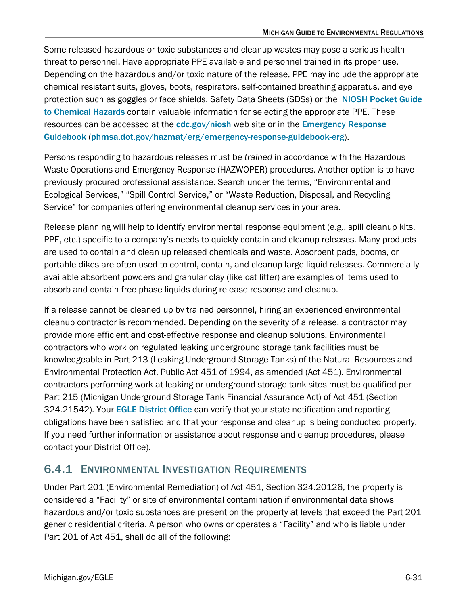Some released hazardous or toxic substances and cleanup wastes may pose a serious health threat to personnel. Have appropriate PPE available and personnel trained in its proper use. Depending on the hazardous and/or toxic nature of the release, PPE may include the appropriate chemical resistant suits, gloves, boots, respirators, self-contained breathing apparatus, and eye protection such as goggles or face shields. Safety Data Sheets (SDSs) or the [NIOSH Pocket Guide](https://www.cdc.gov/niosh/npg/mobilepocketguide.html)  [to Chemical Hazards](https://www.cdc.gov/niosh/npg/mobilepocketguide.html) contain valuable information for selecting the appropriate PPE. These resources can be accessed at the [cdc.gov/niosh](https://www.cdc.gov/niosh/) web site or in the Emergency Response [Guidebook](https://www.phmsa.dot.gov/hazmat/erg/emergency-response-guidebook-erg) ([phmsa.dot.gov/hazmat/erg/emergency-response-guidebook-erg](https://www.phmsa.dot.gov/hazmat/erg/emergency-response-guidebook-erg)).

Persons responding to hazardous releases must be *trained* in accordance with the Hazardous Waste Operations and Emergency Response (HAZWOPER) procedures. Another option is to have previously procured professional assistance. Search under the terms, "Environmental and Ecological Services," "Spill Control Service," or "Waste Reduction, Disposal, and Recycling Service" for companies offering environmental cleanup services in your area.

Release planning will help to identify environmental response equipment (e.g., spill cleanup kits, PPE, etc.) specific to a company's needs to quickly contain and cleanup releases. Many products are used to contain and clean up released chemicals and waste. Absorbent pads, booms, or portable dikes are often used to control, contain, and cleanup large liquid releases. Commercially available absorbent powders and granular clay (like cat litter) are examples of items used to absorb and contain free-phase liquids during release response and cleanup.

If a release cannot be cleaned up by trained personnel, hiring an experienced environmental cleanup contractor is recommended. Depending on the severity of a release, a contractor may provide more efficient and cost-effective response and cleanup solutions. Environmental contractors who work on regulated leaking underground storage tank facilities must be knowledgeable in Part 213 (Leaking Underground Storage Tanks) of the Natural Resources and Environmental Protection Act, Public Act 451 of 1994, as amended (Act 451). Environmental contractors performing work at leaking or underground storage tank sites must be qualified per Part 215 (Michigan Underground Storage Tank Financial Assurance Act) of Act 451 (Section 324.21542). Your [EGLE District Office](https://www.michigan.gov/egle/contact/district-office-locations) can verify that your state notification and reporting obligations have been satisfied and that your response and cleanup is being conducted properly. If you need further information or assistance about response and cleanup procedures, please contact your District Office).

### <span id="page-30-0"></span>6.4.1 ENVIRONMENTAL INVESTIGATION REQUIREMENTS

Under Part 201 (Environmental Remediation) of Act 451, Section 324.20126, the property is considered a "Facility" or site of environmental contamination if environmental data shows hazardous and/or toxic substances are present on the property at levels that exceed the Part 201 generic residential criteria. A person who owns or operates a "Facility" and who is liable under Part 201 of Act 451, shall do all of the following: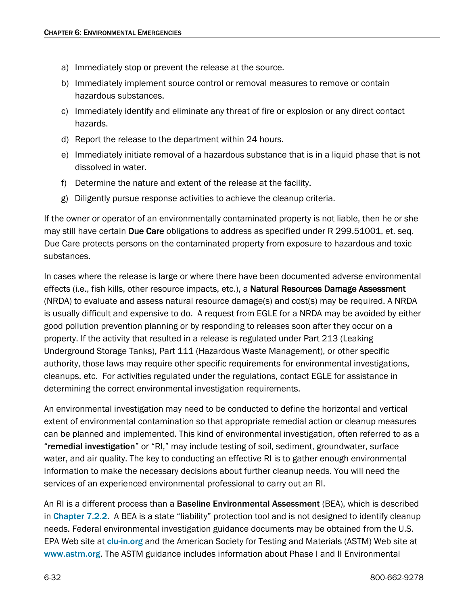- a) Immediately stop or prevent the release at the source.
- b) Immediately implement source control or removal measures to remove or contain hazardous substances.
- c) Immediately identify and eliminate any threat of fire or explosion or any direct contact hazards.
- d) Report the release to the department within 24 hours.
- e) Immediately initiate removal of a hazardous substance that is in a liquid phase that is not dissolved in water.
- f) Determine the nature and extent of the release at the facility.
- g) Diligently pursue response activities to achieve the cleanup criteria.

If the owner or operator of an environmentally contaminated property is not liable, then he or she may still have certain Due Care obligations to address as specified under R 299.51001, et. seq. Due Care protects persons on the contaminated property from exposure to hazardous and toxic substances.

In cases where the release is large or where there have been documented adverse environmental effects (i.e., fish kills, other resource impacts, etc.), a Natural Resources Damage Assessment (NRDA) to evaluate and assess natural resource damage(s) and cost(s) may be required. A NRDA is usually difficult and expensive to do. A request from EGLE for a NRDA may be avoided by either good pollution prevention planning or by responding to releases soon after they occur on a property. If the activity that resulted in a release is regulated under Part 213 (Leaking Underground Storage Tanks), Part 111 (Hazardous Waste Management), or other specific authority, those laws may require other specific requirements for environmental investigations, cleanups, etc. For activities regulated under the regulations, contact EGLE for assistance in determining the correct environmental investigation requirements.

An environmental investigation may need to be conducted to define the horizontal and vertical extent of environmental contamination so that appropriate remedial action or cleanup measures can be planned and implemented. This kind of environmental investigation, often referred to as a "remedial investigation" or "RI," may include testing of soil, sediment, groundwater, surface water, and air quality. The key to conducting an effective RI is to gather enough environmental information to make the necessary decisions about further cleanup needs. You will need the services of an experienced environmental professional to carry out an RI.

An RI is a different process than a **Baseline Environmental Assessment** (BEA), which is described in [Chapter 7.2.2](https://www.michigan.gov/-/media/Project/Websites/egle/Documents/Regulatory-Assistance/Guidebooks/MI-Guide-to-Environmental-Regulations/MI-Guide-Environmental-Regulations-Ch7-Contaminated-Sites.pdf#page=4). A BEA is a state "liability" protection tool and is not designed to identify cleanup needs. Federal environmental investigation guidance documents may be obtained from the U.S. EPA Web site at [clu-in.org](http://clu-in.org/) and the American Society for Testing and Materials (ASTM) Web site at [www.astm.org](http://www.astm.org/). The ASTM guidance includes information about Phase I and II Environmental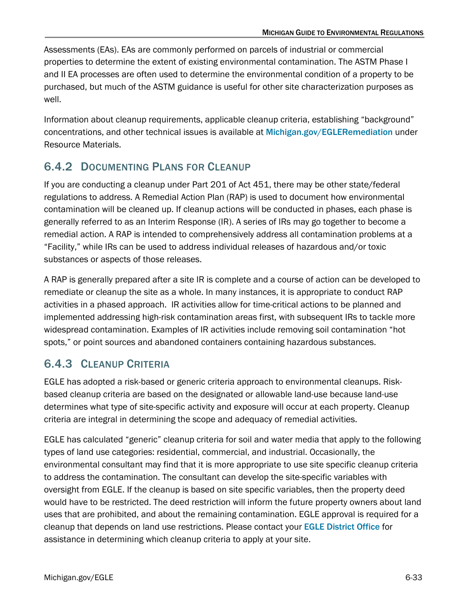Assessments (EAs). EAs are commonly performed on parcels of industrial or commercial properties to determine the extent of existing environmental contamination. The ASTM Phase I and II EA processes are often used to determine the environmental condition of a property to be purchased, but much of the ASTM guidance is useful for other site characterization purposes as well.

Information about cleanup requirements, applicable cleanup criteria, establishing "background" concentrations, and other technical issues is available at [Michigan.gov/EGLERemediation](https://www.michigan.gov/egle/about/organization/remediation-and-redevelopment/remediation-and-investigation) under Resource Materials.

## <span id="page-32-0"></span>6.4.2 DOCUMENTING PLANS FOR CLEANUP

If you are conducting a cleanup under Part 201 of Act 451, there may be other state/federal regulations to address. A Remedial Action Plan (RAP) is used to document how environmental contamination will be cleaned up. If cleanup actions will be conducted in phases, each phase is generally referred to as an Interim Response (IR). A series of IRs may go together to become a remedial action. A RAP is intended to comprehensively address all contamination problems at a "Facility," while IRs can be used to address individual releases of hazardous and/or toxic substances or aspects of those releases.

A RAP is generally prepared after a site IR is complete and a course of action can be developed to remediate or cleanup the site as a whole. In many instances, it is appropriate to conduct RAP activities in a phased approach. IR activities allow for time-critical actions to be planned and implemented addressing high-risk contamination areas first, with subsequent IRs to tackle more widespread contamination. Examples of IR activities include removing soil contamination "hot spots," or point sources and abandoned containers containing hazardous substances.

## <span id="page-32-1"></span>6.4.3 CLEANUP CRITERIA

EGLE has adopted a risk-based or generic criteria approach to environmental cleanups. Riskbased cleanup criteria are based on the designated or allowable land-use because land-use determines what type of site-specific activity and exposure will occur at each property. Cleanup criteria are integral in determining the scope and adequacy of remedial activities.

EGLE has calculated "generic" cleanup criteria for soil and water media that apply to the following types of land use categories: residential, commercial, and industrial. Occasionally, the environmental consultant may find that it is more appropriate to use site specific cleanup criteria to address the contamination. The consultant can develop the site-specific variables with oversight from EGLE. If the cleanup is based on site specific variables, then the property deed would have to be restricted. The deed restriction will inform the future property owners about land uses that are prohibited, and about the remaining contamination. EGLE approval is required for a cleanup that depends on land use restrictions. Please contact your [EGLE District Office](https://www.michigan.gov/egle/contact/district-office-locations) for assistance in determining which cleanup criteria to apply at your site.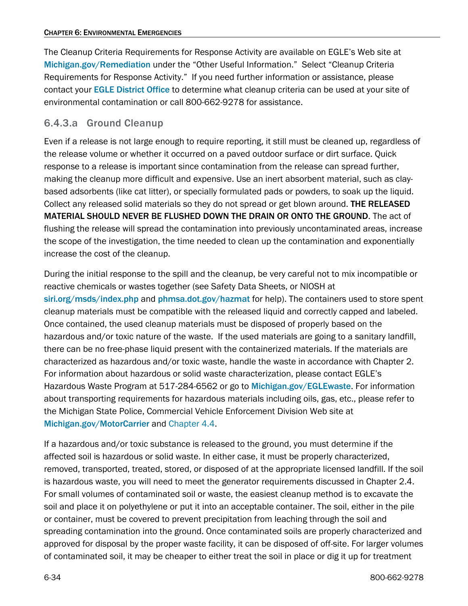The Cleanup Criteria Requirements for Response Activity are available on EGLE's Web site at [Michigan.gov/Remediation](https://www.michigan.gov/egle/about/organization/remediation-and-redevelopment/remediation-and-investigation) under the "Other Useful Information." Select "Cleanup Criteria Requirements for Response Activity." If you need further information or assistance, please contact your [EGLE District Office](https://www.michigan.gov/egle/contact/district-office-locations) to determine what cleanup criteria can be used at your site of environmental contamination or call 800-662-9278 for assistance.

### 6.4.3.a Ground Cleanup

Even if a release is not large enough to require reporting, it still must be cleaned up, regardless of the release volume or whether it occurred on a paved outdoor surface or dirt surface. Quick response to a release is important since contamination from the release can spread further, making the cleanup more difficult and expensive. Use an inert absorbent material, such as claybased adsorbents (like cat litter), or specially formulated pads or powders, to soak up the liquid. Collect any released solid materials so they do not spread or get blown around. THE RELEASED MATERIAL SHOULD NEVER BE FLUSHED DOWN THE DRAIN OR ONTO THE GROUND. The act of flushing the release will spread the contamination into previously uncontaminated areas, increase the scope of the investigation, the time needed to clean up the contamination and exponentially increase the cost of the cleanup.

During the initial response to the spill and the cleanup, be very careful not to mix incompatible or reactive chemicals or wastes together (see Safety Data Sheets, or NIOSH at [siri.org/msds/index.php](http://www.siri.org/msds/index.php) and [phmsa.dot.gov/hazmat](https://www.phmsa.dot.gov/) for help). The containers used to store spent cleanup materials must be compatible with the released liquid and correctly capped and labeled. Once contained, the used cleanup materials must be disposed of properly based on the hazardous and/or toxic nature of the waste. If the used materials are going to a sanitary landfill, there can be no free-phase liquid present with the containerized materials. If the materials are characterized as hazardous and/or toxic waste, handle the waste in accordance with Chapter 2. For information about hazardous or solid waste characterization, please contact EGLE's Hazardous Waste Program at 517-284-6562 or go to [Michigan.gov/EGLEwaste](https://www.michigan.gov/egle/about/organization/materials-management/hazardous-waste). For information about transporting requirements for hazardous materials including oils, gas, etc., please refer to the Michigan State Police, Commercial Vehicle Enforcement Division Web site at [Michigan.gov/MotorCarrier](https://www.michigan.gov/msp/divisions/cved) and [Chapter 4.4.](https://www.michigan.gov/egle/-/media/Project/Websites/egle/Documents/Regulatory-Assistance/Guidebooks/MI-Guide-to-Environmental-Regulations/MI-Guide-Environmental-Regulations-Ch4-Transport.pdf#page=19)

If a hazardous and/or toxic substance is released to the ground, you must determine if the affected soil is hazardous or solid waste. In either case, it must be properly characterized, removed, transported, treated, stored, or disposed of at the appropriate licensed landfill. If the soil is hazardous waste, you will need to meet the generator requirements discussed in Chapter 2.4. For small volumes of contaminated soil or waste, the easiest cleanup method is to excavate the soil and place it on polyethylene or put it into an acceptable container. The soil, either in the pile or container, must be covered to prevent precipitation from leaching through the soil and spreading contamination into the ground. Once contaminated soils are properly characterized and approved for disposal by the proper waste facility, it can be disposed of off-site. For larger volumes of contaminated soil, it may be cheaper to either treat the soil in place or dig it up for treatment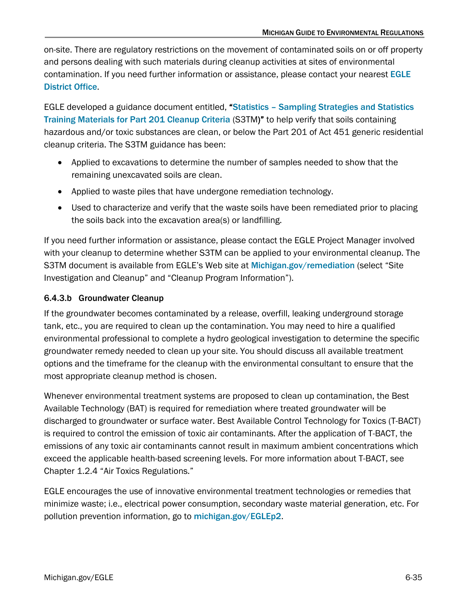on-site. There are regulatory restrictions on the movement of contaminated soils on or off property and persons dealing with such materials during cleanup activities at sites of environmental contamination. If you need further information or assistance, please contact your nearest [EGLE](https://www.michigan.gov/egle/contact/district-office-locations)  [District Office](https://www.michigan.gov/egle/contact/district-office-locations).

EGLE developed a guidance document entitled, "[Statistics – Sampling Strategies and Statistics](https://www.michigan.gov/-/media/Project/Websites/egle/Documents/Programs/RRD/Remediation/Resources/Sampling-Strategies-and-Statistics-Training-Materials-S3TM.pdf)  [Training Materials for Part 201 Cleanup Criteria](https://www.michigan.gov/-/media/Project/Websites/egle/Documents/Programs/RRD/Remediation/Resources/Sampling-Strategies-and-Statistics-Training-Materials-S3TM.pdf) (S3TM)" to help verify that soils containing hazardous and/or toxic substances are clean, or below the Part 201 of Act 451 generic residential cleanup criteria. The S3TM guidance has been:

- Applied to excavations to determine the number of samples needed to show that the remaining unexcavated soils are clean.
- Applied to waste piles that have undergone remediation technology.
- Used to characterize and verify that the waste soils have been remediated prior to placing the soils back into the excavation area(s) or landfilling.

If you need further information or assistance, please contact the EGLE Project Manager involved with your cleanup to determine whether S3TM can be applied to your environmental cleanup. The S3TM document is available from EGLE's Web site at [Michigan.gov/remediation](https://www.michigan.gov/egle/about/organization/remediation-and-redevelopment/remediation-and-investigation) (select "Site Investigation and Cleanup" and "Cleanup Program Information").

### 6.4.3.b Groundwater Cleanup

If the groundwater becomes contaminated by a release, overfill, leaking underground storage tank, etc., you are required to clean up the contamination. You may need to hire a qualified environmental professional to complete a hydro geological investigation to determine the specific groundwater remedy needed to clean up your site. You should discuss all available treatment options and the timeframe for the cleanup with the environmental consultant to ensure that the most appropriate cleanup method is chosen.

Whenever environmental treatment systems are proposed to clean up contamination, the Best Available Technology (BAT) is required for remediation where treated groundwater will be discharged to groundwater or surface water. Best Available Control Technology for Toxics (T-BACT) is required to control the emission of toxic air contaminants. After the application of T-BACT, the emissions of any toxic air contaminants cannot result in maximum ambient concentrations which exceed the applicable health-based screening levels. For more information about T-BACT, see Chapter 1.2.4 "Air Toxics Regulations."

EGLE encourages the use of innovative environmental treatment technologies or remedies that minimize waste; i.e., electrical power consumption, secondary waste material generation, etc. For pollution prevention information, go to [michigan.gov/EGLEp2](http://www.michigan.gov/EGLEp2).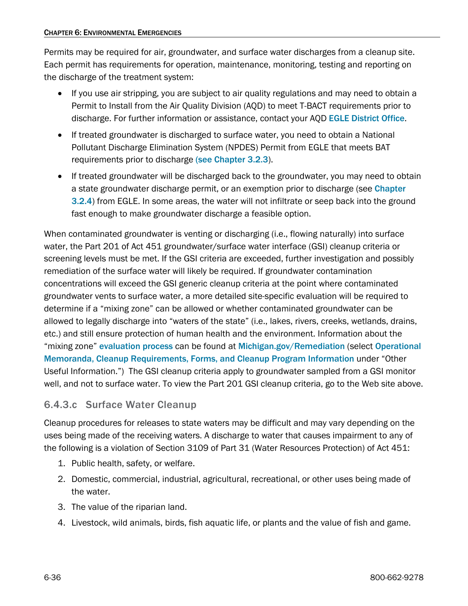Permits may be required for air, groundwater, and surface water discharges from a cleanup site. Each permit has requirements for operation, maintenance, monitoring, testing and reporting on the discharge of the treatment system:

- If you use air stripping, you are subject to air quality regulations and may need to obtain a Permit to Install from the Air Quality Division (AQD) to meet T-BACT requirements prior to discharge. For further information or assistance, contact your AQD [EGLE District Office](https://www.michigan.gov/egle/contact/district-office-locations).
- If treated groundwater is discharged to surface water, you need to obtain a National Pollutant Discharge Elimination System (NPDES) Permit from EGLE that meets BAT requirements prior to discharge [\(see Chapter 3.2.3](https://www.michigan.gov/-/media/Project/Websites/egle/Documents/Regulatory-Assistance/Guidebooks/MI-Guide-to-Environmental-Regulations/MI-Guide-Environmental-Regulations-Ch3-Wastewater.pdf?rev=17a53e01e4954031a7f85d34a29e6abf#page=13)).
- If treated groundwater will be discharged back to the groundwater, you may need to obtain a state groundwater discharge permit, or an exemption prior to discharge (see Chapter [3.2.4](https://www.michigan.gov/-/media/Project/Websites/egle/Documents/Regulatory-Assistance/Guidebooks/MI-Guide-to-Environmental-Regulations/MI-Guide-Environmental-Regulations-Ch3-Wastewater.pdf?rev=17a53e01e4954031a7f85d34a29e6abf#page=17)) from EGLE. In some areas, the water will not infiltrate or seep back into the ground fast enough to make groundwater discharge a feasible option.

When contaminated groundwater is venting or discharging (i.e., flowing naturally) into surface water, the Part 201 of Act 451 groundwater/surface water interface (GSI) cleanup criteria or screening levels must be met. If the GSI criteria are exceeded, further investigation and possibly remediation of the surface water will likely be required. If groundwater contamination concentrations will exceed the GSI generic cleanup criteria at the point where contaminated groundwater vents to surface water, a more detailed site-specific evaluation will be required to determine if a "mixing zone" can be allowed or whether contaminated groundwater can be allowed to legally discharge into "waters of the state" (i.e., lakes, rivers, creeks, wetlands, drains, etc.) and still ensure protection of human health and the environment. Information about the "mixing zone" [evaluation process](http://michigan.gov/documents/deq/deq-rrd-OpMemo_5_286637_7.pdf) can be found at [Michigan.gov/Remediation](https://www.michigan.gov/egle/about/organization/remediation-and-redevelopment/remediation-and-investigation) (select Operational [Memoranda, Cleanup Requirements, Forms, and Cleanup Program Information](https://www.michigan.gov/egle/about/organization/Remediation-and-Redevelopment/Remediation-and-Investigation/resource-materials-for-the-part-201-and-part-213-programs) under "Other Useful Information.") The GSI cleanup criteria apply to groundwater sampled from a GSI monitor well, and not to surface water. To view the Part 201 GSI cleanup criteria, go to the Web site above.

### 6.4.3.c Surface Water Cleanup

Cleanup procedures for releases to state waters may be difficult and may vary depending on the uses being made of the receiving waters. A discharge to water that causes impairment to any of the following is a violation of Section 3109 of Part 31 (Water Resources Protection) of Act 451:

- 1. Public health, safety, or welfare.
- 2. Domestic, commercial, industrial, agricultural, recreational, or other uses being made of the water.
- 3. The value of the riparian land.
- 4. Livestock, wild animals, birds, fish aquatic life, or plants and the value of fish and game.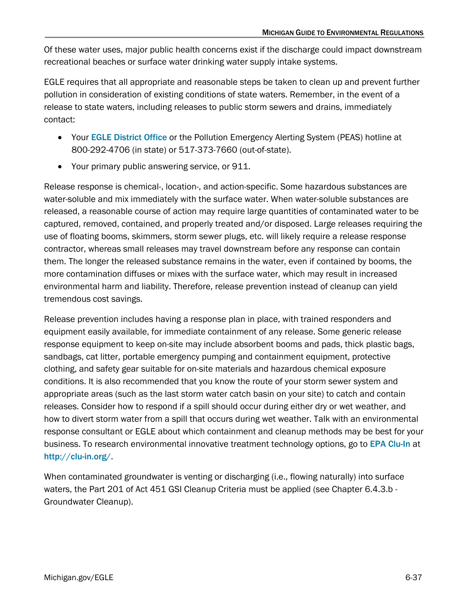Of these water uses, major public health concerns exist if the discharge could impact downstream recreational beaches or surface water drinking water supply intake systems.

EGLE requires that all appropriate and reasonable steps be taken to clean up and prevent further pollution in consideration of existing conditions of state waters. Remember, in the event of a release to state waters, including releases to public storm sewers and drains, immediately contact:

- Your EGLE [District Office](https://www.michigan.gov/egle/contact/district-office-locations) or the Pollution Emergency Alerting System (PEAS) hotline at 800-292-4706 (in state) or 517-373-7660 (out-of-state).
- Your primary public answering service, or 911.

Release response is chemical-, location-, and action-specific. Some hazardous substances are water-soluble and mix immediately with the surface water. When water-soluble substances are released, a reasonable course of action may require large quantities of contaminated water to be captured, removed, contained, and properly treated and/or disposed. Large releases requiring the use of floating booms, skimmers, storm sewer plugs, etc. will likely require a release response contractor, whereas small releases may travel downstream before any response can contain them. The longer the released substance remains in the water, even if contained by booms, the more contamination diffuses or mixes with the surface water, which may result in increased environmental harm and liability. Therefore, release prevention instead of cleanup can yield tremendous cost savings.

Release prevention includes having a response plan in place, with trained responders and equipment easily available, for immediate containment of any release. Some generic release response equipment to keep on-site may include absorbent booms and pads, thick plastic bags, sandbags, cat litter, portable emergency pumping and containment equipment, protective clothing, and safety gear suitable for on-site materials and hazardous chemical exposure conditions. It is also recommended that you know the route of your storm sewer system and appropriate areas (such as the last storm water catch basin on your site) to catch and contain releases. Consider how to respond if a spill should occur during either dry or wet weather, and how to divert storm water from a spill that occurs during wet weather. Talk with an environmental response consultant or EGLE about which containment and cleanup methods may be best for your business. To research environmental innovative treatment technology options, go to [EPA Clu-In](http://clu-in.org/) at <http://clu-in.org/>.

When contaminated groundwater is venting or discharging (i.e., flowing naturally) into surface waters, the Part 201 of Act 451 GSI Cleanup Criteria must be applied (see Chapter 6.4.3.b -Groundwater Cleanup).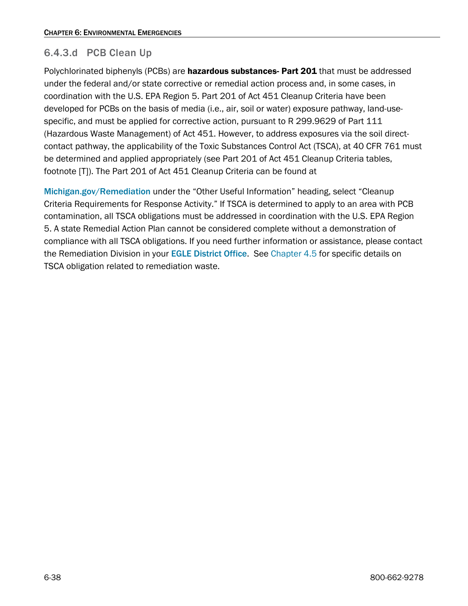### 6.4.3.d PCB Clean Up

Polychlorinated biphenyls (PCBs) are hazardous substances- Part 201 that must be addressed under the federal and/or state corrective or remedial action process and, in some cases, in coordination with the U.S. EPA Region 5. Part 201 of Act 451 Cleanup Criteria have been developed for PCBs on the basis of media (i.e., air, soil or water) exposure pathway, land-usespecific, and must be applied for corrective action, pursuant to R 299.9629 of Part 111 (Hazardous Waste Management) of Act 451. However, to address exposures via the soil directcontact pathway, the applicability of the Toxic Substances Control Act (TSCA), at 40 CFR 761 must be determined and applied appropriately (see Part 201 of Act 451 Cleanup Criteria tables, footnote [T]). The Part 201 of Act 451 Cleanup Criteria can be found at

[Michigan.gov/Remediation](https://www.michigan.gov/egle/about/organization/remediation-and-redevelopment/remediation-and-investigation) under the "Other Useful Information" heading, select "Cleanup Criteria Requirements for Response Activity." If TSCA is determined to apply to an area with PCB contamination, all TSCA obligations must be addressed in coordination with the U.S. EPA Region 5. A state Remedial Action Plan cannot be considered complete without a demonstration of compliance with all TSCA obligations. If you need further information or assistance, please contact the Remediation Division in your **[EGLE District Office](https://www.michigan.gov/egle/contact/district-office-locations).** See [Chapter 4.5](https://www.michigan.gov/egle/-/media/Project/Websites/egle/Documents/Regulatory-Assistance/Guidebooks/MI-Guide-to-Environmental-Regulations/MI-Guide-Environmental-Regulations-Ch4-Transport.pdf#page=28) for specific details on TSCA obligation related to remediation waste.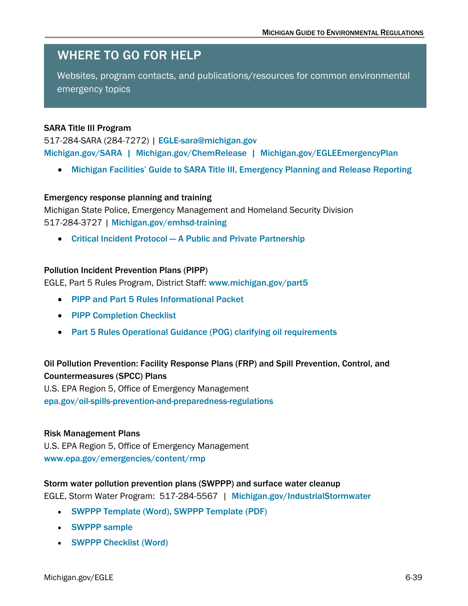## <span id="page-38-0"></span>WHERE TO GO FOR HELP

Websites, program contacts, and publications/resources for common environmental emergency topics

### SARA Title III Program

517-284-SARA (284-7272) | [EGLE-sara@michigan.gov](mailto:deq-sara@michigan.gov) [Michigan.gov/SARA](https://www.michigan.gov/egle/regulatory-assistance/emergency-planning-and-community-right-to-know/emergency-planning-and-community-right-to-know-act) | [Michigan.gov/ChemRelease](https://www.michigan.gov/egle/regulatory-assistance/emergency-planning-and-community-right-to-know/spill-release-reporting) | [Michigan.gov/EGLEEmergencyPlan](https://www.michigan.gov/egle/regulatory-assistance/emergency-planning-and-community-right-to-know)

• Michigan Facilities' Guide to SARA Title III, [Emergency Planning and Release Reporting](https://www.michigan.gov/egle/-/media/Project/Websites/egle/Documents/Programs/ESD/SARA/MI-Facilities-Guide-to-SARA.pdf)

#### Emergency response planning and training

Michigan State Police, Emergency Management and Homeland Security Division 517-284-3727 | [Michigan.gov/emhsd-training](https://www.michigan.gov/msp/divisions/emhsd/training-responsive)

• [Critical Incident Protocol — A Public and Private Partnership](https://www.michigan.gov/msp/-/media/Project/Websites/msp/EMHSD/Publications/msp-critical__incident_Protocal_8735_7.pdf)

#### Pollution Incident Prevention Plans (PIPP)

EGLE, Part 5 Rules Program, District Staff: [www.michigan.gov/part5](https://www.michigan.gov/egle/about/organization/water-resources/part5-spills)

- [PIPP and Part 5 Rules Informational Packet](https://www.michigan.gov/-/media/Project/Websites/egle/Documents/Programs/draft/deq-ead-tas-pipp5summary.pdf)
- [PIPP Completion Checklist](https://www.michigan.gov/-/media/Project/Websites/egle/Documents/Programs/draft/deq-ead-tas-pipp5summary.pdf)
- [Part 5 Rules Operational Guidance \(POG\) clarifying oil requirements](https://www.michigan.gov/-/media/Project/Websites/egle/Documents/Policies-Procedures/WRD/WRD-036-part-5-rules-oil.pdf)

### Oil Pollution Prevention: Facility Response Plans (FRP) and Spill Prevention, Control, and Countermeasures (SPCC) Plans

U.S. EPA Region 5, Office of Emergency Management

[epa.gov/oil-spills-prevention-and-preparedness-regulations](https://www.epa.gov/oil-spills-prevention-and-preparedness-regulations)

### Risk Management Plans

U.S. EPA Region 5, Office of Emergency Management [www.epa.gov/emergencies/content/rmp](https://www.epa.gov/emergency-response)

#### Storm water pollution prevention plans (SWPPP) and surface water cleanup

EGLE, Storm Water Program: 517-284-5567 | [Michigan.gov/IndustrialStormwater](https://www.michigan.gov/egle/about/organization/water-resources/industrial-storm-water)

- [SWPPP Template \(Word\)](https://www.michigan.gov/egle/-/media/Project/Websites/egle/Documents/Programs/WRD/Storm-Water-Industrial/swppp-template.doc), [SWPPP Template \(PDF\)](https://www.michigan.gov/-/media/Project/Websites/egle/Documents/Programs/WRD/Storm-Water-Industrial/swppp-template-pdf.pdf)
- [SWPPP sample](https://www.michigan.gov/-/media/Project/Websites/egle/Documents/Programs/WRD/Storm-Water-Industrial/swppp-example.pdf)
- [SWPPP Checklist \(Word\)](https://www.michigan.gov/egle/-/media/Project/Websites/egle/Documents/Forms/WRD/Storm-Water-Industrial/Storm-Water-Pollution-Prevention-Plan-Checklist.docx)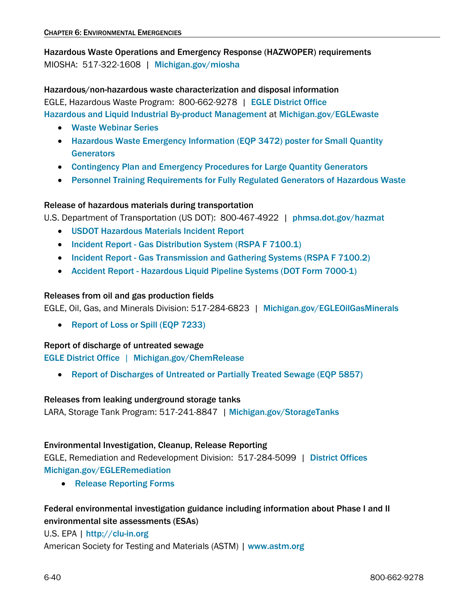Hazardous Waste Operations and Emergency Response (HAZWOPER) requirements MIOSHA: 517-322-1608 | [Michigan.gov/miosha](https://www.michigan.gov/leo/bureaus-agencies/MIOSHA/)

Hazardous/non-hazardous waste characterization and disposal information EGLE, Hazardous Waste Program: 800-662-9278 | [EGLE District Office](https://www.michigan.gov/egle/contact/district-office-locations) [Hazardous and Liquid Industrial By-product Management](https://www.michigan.gov/egle/about/organization/Materials-Management/hazardous-waste/liquid-industrial-byproducts) at [Michigan.gov/EGLEwaste](https://www.michigan.gov/egle/about/organization/Materials-Management/hazardous-waste/liquid-industrial-byproducts)

- [Waste Webinar Series](https://www.michigan.gov/egle/outreach/past-events/waste-webinar-series)
- [Hazardous Waste Emergency Information \(EQP 3472\) poster](https://www.michigan.gov/egle/-/media/Project/Websites/egle/Documents/Programs/MMD/Hazardous-Waste/Haz-Waste-Emergency-Posting.pdf) for Small Quantity **[Generators](https://www.michigan.gov/egle/-/media/Project/Websites/egle/Documents/Programs/MMD/Hazardous-Waste/Haz-Waste-Emergency-Posting.pdf)**
- [Contingency Plan and Emergency Procedures for Large Quantity Generators](https://www.michigan.gov/-/media/Project/Websites/egle/Documents/Programs/MMD/Hazardous-Waste/contingency-plan-emergency-procedures.pdf)
- [Personnel Training Requirements for Fully Regulated Generators of](https://www.michigan.gov/-/media/Project/Websites/egle/Documents/Programs/draft/Haz-Waste-LQG-Personnel-Training.pdf) Hazardous Waste

### Release of hazardous materials during transportation

U.S. Department of Transportation (US DOT): 800-467-4922 | [phmsa.dot.gov/hazmat](https://www.phmsa.dot.gov/)

- USDOT [Hazardous Materials Incident Report](https://www.phmsa.dot.gov/sites/phmsa.dot.gov/files/docs/IncidentForm010105.pdf)
- Incident Report [Gas Distribution System \(RSPA F 7100.1\)](https://www.phmsa.dot.gov/forms/operator-reports-submitted-phmsa-forms-and-instructions)
- Incident Report [Gas Transmission and Gathering Systems \(RSPA](https://www.phmsa.dot.gov/forms/operator-reports-submitted-phmsa-forms-and-instructions) F 7100.2)
- Accident Report [Hazardous Liquid Pipeline Systems \(DOT](https://www.phmsa.dot.gov/forms/operator-reports-submitted-phmsa-forms-and-instructions) Form 7000-1)

### Releases from oil and gas production fields

EGLE, Oil, Gas, and Minerals Division: 517-284-6823 | [Michigan.gov/EGLEOilGasMinerals](https://www.michigan.gov/egle/about/organization/Oil-Gas-and-Minerals)

• [Report of Loss or Spill \(EQP 7233\)](https://www.michigan.gov/egle/about/organization/Oil-Gas-and-Minerals/Oil-and-Gas/Oil-and-Gas-Forms)

### Report of discharge of untreated sewage

[EGLE District Office](https://www.michigan.gov/egle/contact/district-office-locations) | [Michigan.gov/ChemRelease](https://www.michigan.gov/egle/regulatory-assistance/emergency-planning-and-community-right-to-know/spill-release-reporting)

• [Report of Discharges of Untreated or Partially Treated Sewage \(EQP](https://www.michigan.gov/egle/Regulatory-Assistance/Emergency-Planning-and-Community-Right-to-Know/spill-release-reporting/release-reporting-forms) 5857)

### Releases from leaking underground storage tanks

LARA, Storage Tank Program: 517-241-8847 | [Michigan.gov/StorageTanks](https://www.michigan.gov/lara/bureau-list/bfs/storage-tanks)

### Environmental Investigation, Cleanup, Release Reporting

EGLE, Remediation and Redevelopment Division: 517-284-5099 | [District Offices](https://www.michigan.gov/egle/contact/district-office-locations)  [Michigan.gov/EGLERemediation](https://www.michigan.gov/egle/about/organization/remediation-and-redevelopment/remediation-and-investigation)

• [Release Reporting Forms](https://www.michigan.gov/egle/Regulatory-Assistance/Emergency-Planning-and-Community-Right-to-Know/spill-release-reporting/release-reporting-forms)

### Federal environmental investigation guidance including information about Phase I and II environmental site assessments (ESAs)

### U.S. EPA | [http://clu-in.org](http://clu-in.org/)

American Society for Testing and Materials (ASTM) | [www.astm.org](http://www.astm.org/)